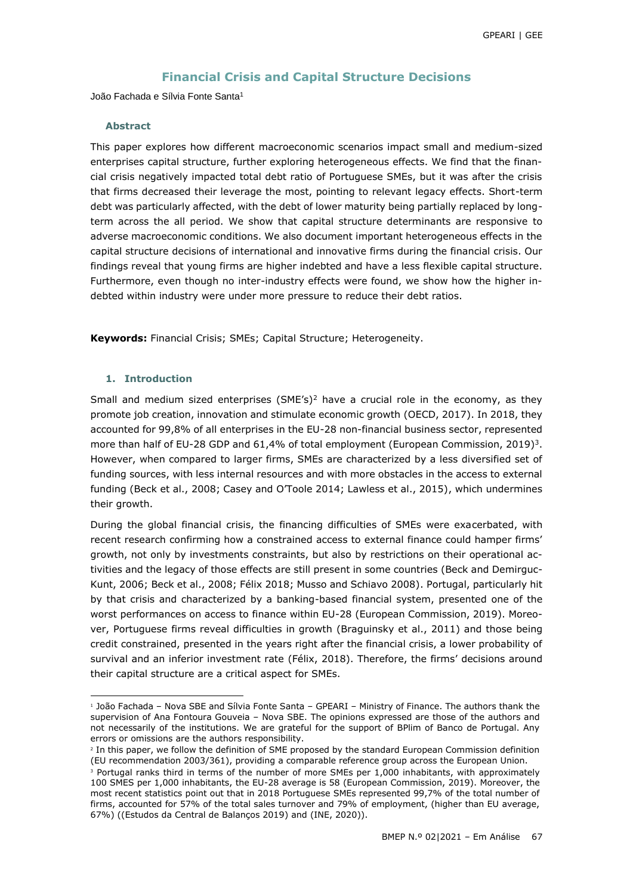## **Financial Crisis and Capital Structure Decisions**

João Fachada e Sílvia Fonte Santa<sup>1</sup>

#### **Abstract**

This paper explores how different macroeconomic scenarios impact small and medium-sized enterprises capital structure, further exploring heterogeneous effects. We find that the financial crisis negatively impacted total debt ratio of Portuguese SMEs, but it was after the crisis that firms decreased their leverage the most, pointing to relevant legacy effects. Short-term debt was particularly affected, with the debt of lower maturity being partially replaced by longterm across the all period. We show that capital structure determinants are responsive to adverse macroeconomic conditions. We also document important heterogeneous effects in the capital structure decisions of international and innovative firms during the financial crisis. Our findings reveal that young firms are higher indebted and have a less flexible capital structure. Furthermore, even though no inter-industry effects were found, we show how the higher indebted within industry were under more pressure to reduce their debt ratios.

**Keywords:** Financial Crisis; SMEs; Capital Structure; Heterogeneity.

## **1. Introduction**

-

Small and medium sized enterprises  $(SME's)^2$  have a crucial role in the economy, as they promote job creation, innovation and stimulate economic growth (OECD, 2017). In 2018, they accounted for 99,8% of all enterprises in the EU-28 non-financial business sector, represented more than half of EU-28 GDP and 61,4% of total employment (European Commission, 2019)<sup>3</sup>. However, when compared to larger firms, SMEs are characterized by a less diversified set of funding sources, with less internal resources and with more obstacles in the access to external funding (Beck et al., 2008; Casey and O'Toole 2014; Lawless et al., 2015), which undermines their growth.

During the global financial crisis, the financing difficulties of SMEs were exacerbated, with recent research confirming how a constrained access to external finance could hamper firms' growth, not only by investments constraints, but also by restrictions on their operational activities and the legacy of those effects are still present in some countries (Beck and Demirguc-Kunt, 2006; Beck et al., 2008; Félix 2018; Musso and Schiavo 2008). Portugal, particularly hit by that crisis and characterized by a banking-based financial system, presented one of the worst performances on access to finance within EU-28 (European Commission, 2019). Moreover, Portuguese firms reveal difficulties in growth (Braguinsky et al., 2011) and those being credit constrained, presented in the years right after the financial crisis, a lower probability of survival and an inferior investment rate (Félix, 2018). Therefore, the firms' decisions around their capital structure are a critical aspect for SMEs.

<sup>1</sup> João Fachada – Nova SBE and Sílvia Fonte Santa – GPEARI – Ministry of Finance. The authors thank the supervision of Ana Fontoura Gouveia – Nova SBE. The opinions expressed are those of the authors and not necessarily of the institutions. We are grateful for the support of BPlim of Banco de Portugal. Any errors or omissions are the authors responsibility.

<sup>&</sup>lt;sup>2</sup> In this paper, we follow the definition of SME proposed by the standard European Commission definition (EU recommendation 2003/361), providing a comparable reference group across the European Union.

<sup>&</sup>lt;sup>3</sup> Portugal ranks third in terms of the number of more SMEs per 1,000 inhabitants, with approximately 100 SMES per 1,000 inhabitants, the EU-28 average is 58 (European Commission, 2019). Moreover, the most recent statistics point out that in 2018 Portuguese SMEs represented 99,7% of the total number of firms, accounted for 57% of the total sales turnover and 79% of employment, (higher than EU average, 67%) ((Estudos da Central de Balanços 2019) and (INE, 2020)).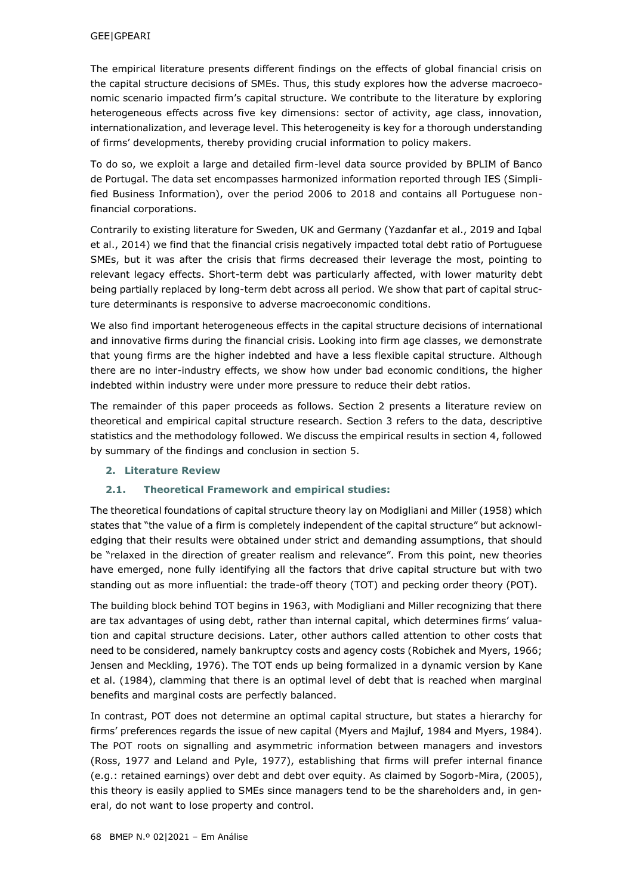### GEE|GPEARI

The empirical literature presents different findings on the effects of global financial crisis on the capital structure decisions of SMEs. Thus, this study explores how the adverse macroeconomic scenario impacted firm's capital structure. We contribute to the literature by exploring heterogeneous effects across five key dimensions: sector of activity, age class, innovation, internationalization, and leverage level. This heterogeneity is key for a thorough understanding of firms' developments, thereby providing crucial information to policy makers.

To do so, we exploit a large and detailed firm-level data source provided by BPLIM of Banco de Portugal. The data set encompasses harmonized information reported through IES (Simplified Business Information), over the period 2006 to 2018 and contains all Portuguese nonfinancial corporations.

Contrarily to existing literature for Sweden, UK and Germany (Yazdanfar et al., 2019 and Iqbal et al., 2014) we find that the financial crisis negatively impacted total debt ratio of Portuguese SMEs, but it was after the crisis that firms decreased their leverage the most, pointing to relevant legacy effects. Short-term debt was particularly affected, with lower maturity debt being partially replaced by long-term debt across all period. We show that part of capital structure determinants is responsive to adverse macroeconomic conditions.

We also find important heterogeneous effects in the capital structure decisions of international and innovative firms during the financial crisis. Looking into firm age classes, we demonstrate that young firms are the higher indebted and have a less flexible capital structure. Although there are no inter-industry effects, we show how under bad economic conditions, the higher indebted within industry were under more pressure to reduce their debt ratios.

The remainder of this paper proceeds as follows. Section 2 presents a literature review on theoretical and empirical capital structure research. Section 3 refers to the data, descriptive statistics and the methodology followed. We discuss the empirical results in section 4, followed by summary of the findings and conclusion in section 5.

## **2. Literature Review**

## **2.1. Theoretical Framework and empirical studies:**

The theoretical foundations of capital structure theory lay on Modigliani and Miller (1958) which states that "the value of a firm is completely independent of the capital structure" but acknowledging that their results were obtained under strict and demanding assumptions, that should be "relaxed in the direction of greater realism and relevance". From this point, new theories have emerged, none fully identifying all the factors that drive capital structure but with two standing out as more influential: the trade-off theory (TOT) and pecking order theory (POT).

The building block behind TOT begins in 1963, with Modigliani and Miller recognizing that there are tax advantages of using debt, rather than internal capital, which determines firms' valuation and capital structure decisions. Later, other authors called attention to other costs that need to be considered, namely bankruptcy costs and agency costs (Robichek and Myers, 1966; Jensen and Meckling, 1976). The TOT ends up being formalized in a dynamic version by Kane et al. (1984), clamming that there is an optimal level of debt that is reached when marginal benefits and marginal costs are perfectly balanced.

In contrast, POT does not determine an optimal capital structure, but states a hierarchy for firms' preferences regards the issue of new capital (Myers and Majluf, 1984 and Myers, 1984). The POT roots on signalling and asymmetric information between managers and investors (Ross, 1977 and Leland and Pyle, 1977), establishing that firms will prefer internal finance (e.g.: retained earnings) over debt and debt over equity. As claimed by Sogorb-Mira, (2005), this theory is easily applied to SMEs since managers tend to be the shareholders and, in general, do not want to lose property and control.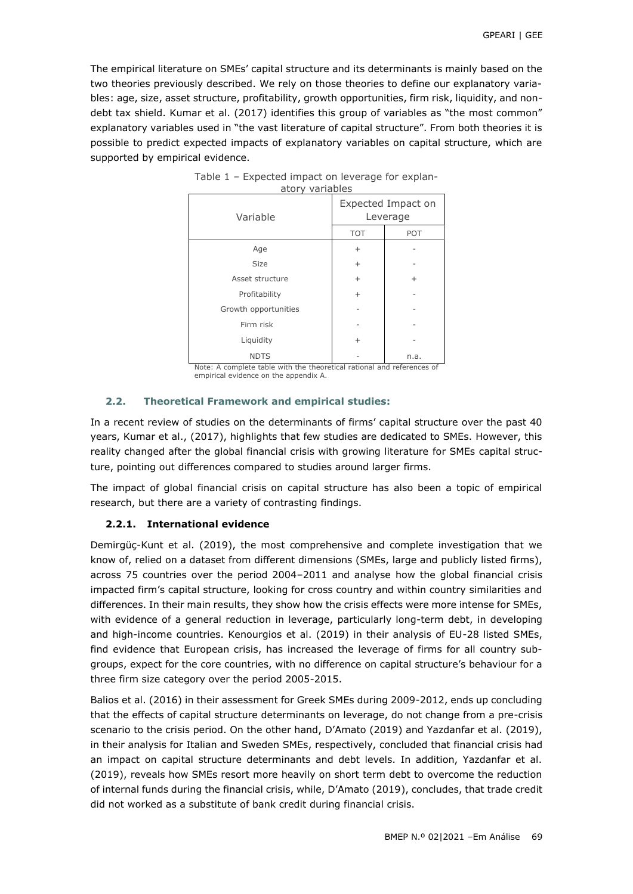The empirical literature on SMEs' capital structure and its determinants is mainly based on the two theories previously described. We rely on those theories to define our explanatory variables: age, size, asset structure, profitability, growth opportunities, firm risk, liquidity, and nondebt tax shield. Kumar et al. (2017) identifies this group of variables as "the most common" explanatory variables used in "the vast literature of capital structure". From both theories it is possible to predict expected impacts of explanatory variables on capital structure, which are supported by empirical evidence.

| Variable             | Expected Impact on<br>Leverage |           |  |
|----------------------|--------------------------------|-----------|--|
|                      | <b>TOT</b>                     | POT       |  |
| Age                  | $^{+}$                         |           |  |
| <b>Size</b>          | $\ddot{}$                      |           |  |
| Asset structure      | $\ddot{}$                      | $\ddot{}$ |  |
| Profitability        | $^{+}$                         |           |  |
| Growth opportunities |                                |           |  |
| Firm risk            |                                |           |  |
| Liquidity            | $\ddot{}$                      |           |  |
| <b>NDTS</b>          |                                | n.a.      |  |

| Table 1 – Expected impact on leverage for explan- |  |  |
|---------------------------------------------------|--|--|
| atory variables                                   |  |  |

Note: A complete table with the theoretical rational and references of empirical evidence on the appendix A.

## **2.2. Theoretical Framework and empirical studies:**

In a recent review of studies on the determinants of firms' capital structure over the past 40 years, Kumar et al., (2017), highlights that few studies are dedicated to SMEs. However, this reality changed after the global financial crisis with growing literature for SMEs capital structure, pointing out differences compared to studies around larger firms.

The impact of global financial crisis on capital structure has also been a topic of empirical research, but there are a variety of contrasting findings.

## **2.2.1. International evidence**

Demirgüç-Kunt et al. (2019), the most comprehensive and complete investigation that we know of, relied on a dataset from different dimensions (SMEs, large and publicly listed firms), across 75 countries over the period 2004–2011 and analyse how the global financial crisis impacted firm's capital structure, looking for cross country and within country similarities and differences. In their main results, they show how the crisis effects were more intense for SMEs, with evidence of a general reduction in leverage, particularly long-term debt, in developing and high-income countries. Kenourgios et al. (2019) in their analysis of EU-28 listed SMEs, find evidence that European crisis, has increased the leverage of firms for all country subgroups, expect for the core countries, with no difference on capital structure's behaviour for a three firm size category over the period 2005-2015.

Balios et al. (2016) in their assessment for Greek SMEs during 2009-2012, ends up concluding that the effects of capital structure determinants on leverage, do not change from a pre-crisis scenario to the crisis period. On the other hand, D'Amato (2019) and Yazdanfar et al. (2019), in their analysis for Italian and Sweden SMEs, respectively, concluded that financial crisis had an impact on capital structure determinants and debt levels. In addition, Yazdanfar et al. (2019), reveals how SMEs resort more heavily on short term debt to overcome the reduction of internal funds during the financial crisis, while, D'Amato (2019), concludes, that trade credit did not worked as a substitute of bank credit during financial crisis.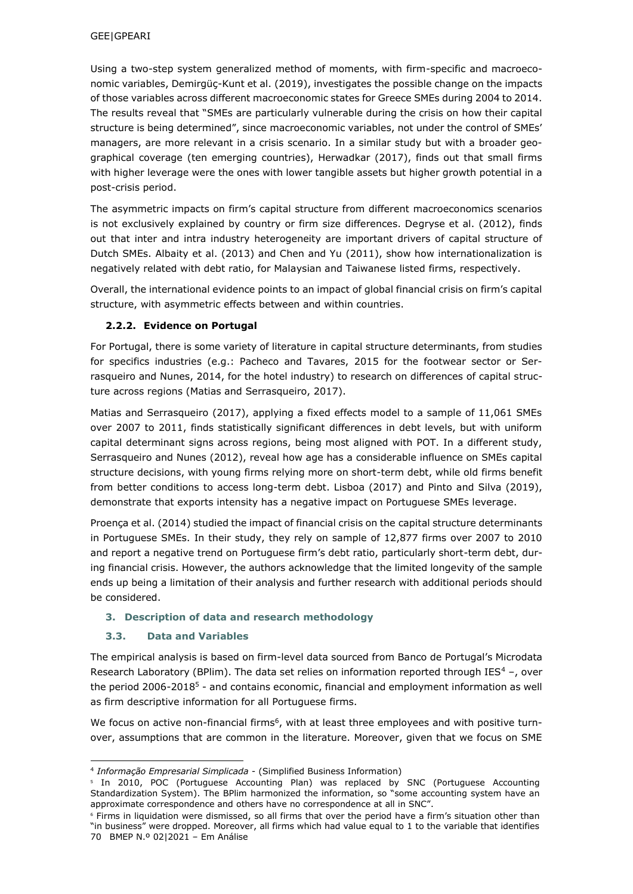Using a two-step system generalized method of moments, with firm-specific and macroeconomic variables, Demirgüç-Kunt et al. (2019), investigates the possible change on the impacts of those variables across different macroeconomic states for Greece SMEs during 2004 to 2014. The results reveal that "SMEs are particularly vulnerable during the crisis on how their capital structure is being determined", since macroeconomic variables, not under the control of SMEs' managers, are more relevant in a crisis scenario. In a similar study but with a broader geographical coverage (ten emerging countries), Herwadkar (2017), finds out that small firms with higher leverage were the ones with lower tangible assets but higher growth potential in a post-crisis period.

The asymmetric impacts on firm's capital structure from different macroeconomics scenarios is not exclusively explained by country or firm size differences. Degryse et al. (2012), finds out that inter and intra industry heterogeneity are important drivers of capital structure of Dutch SMEs. Albaity et al. (2013) and Chen and Yu (2011), show how internationalization is negatively related with debt ratio, for Malaysian and Taiwanese listed firms, respectively.

Overall, the international evidence points to an impact of global financial crisis on firm's capital structure, with asymmetric effects between and within countries.

## **2.2.2. Evidence on Portugal**

For Portugal, there is some variety of literature in capital structure determinants, from studies for specifics industries (e.g.: Pacheco and Tavares, 2015 for the footwear sector or Serrasqueiro and Nunes, 2014, for the hotel industry) to research on differences of capital structure across regions (Matias and Serrasqueiro, 2017).

Matias and Serrasqueiro (2017), applying a fixed effects model to a sample of 11,061 SMEs over 2007 to 2011, finds statistically significant differences in debt levels, but with uniform capital determinant signs across regions, being most aligned with POT. In a different study, Serrasqueiro and Nunes (2012), reveal how age has a considerable influence on SMEs capital structure decisions, with young firms relying more on short-term debt, while old firms benefit from better conditions to access long-term debt. Lisboa (2017) and Pinto and Silva (2019), demonstrate that exports intensity has a negative impact on Portuguese SMEs leverage.

Proença et al. (2014) studied the impact of financial crisis on the capital structure determinants in Portuguese SMEs. In their study, they rely on sample of 12,877 firms over 2007 to 2010 and report a negative trend on Portuguese firm's debt ratio, particularly short-term debt, during financial crisis. However, the authors acknowledge that the limited longevity of the sample ends up being a limitation of their analysis and further research with additional periods should be considered.

## **3. Description of data and research methodology**

# **3.3. Data and Variables**

 $\overline{a}$ 

The empirical analysis is based on firm-level data sourced from Banco de Portugal's Microdata Research Laboratory (BPlim). The data set relies on information reported through IES<sup>4</sup> –, over the period 2006-2018<sup>5</sup> - and contains economic, financial and employment information as well as firm descriptive information for all Portuguese firms.

We focus on active non-financial firms<sup>6</sup>, with at least three employees and with positive turnover, assumptions that are common in the literature. Moreover, given that we focus on SME

<sup>4</sup> *Informação Empresarial Simplicada* - (Simplified Business Information)

<sup>5</sup> In 2010, POC (Portuguese Accounting Plan) was replaced by SNC (Portuguese Accounting Standardization System). The BPlim harmonized the information, so "some accounting system have an approximate correspondence and others have no correspondence at all in SNC".

<sup>70</sup> BMEP N.º 02|2021 – Em Análise <sup>6</sup> Firms in liquidation were dismissed, so all firms that over the period have a firm's situation other than "in business" were dropped. Moreover, all firms which had value equal to 1 to the variable that identifies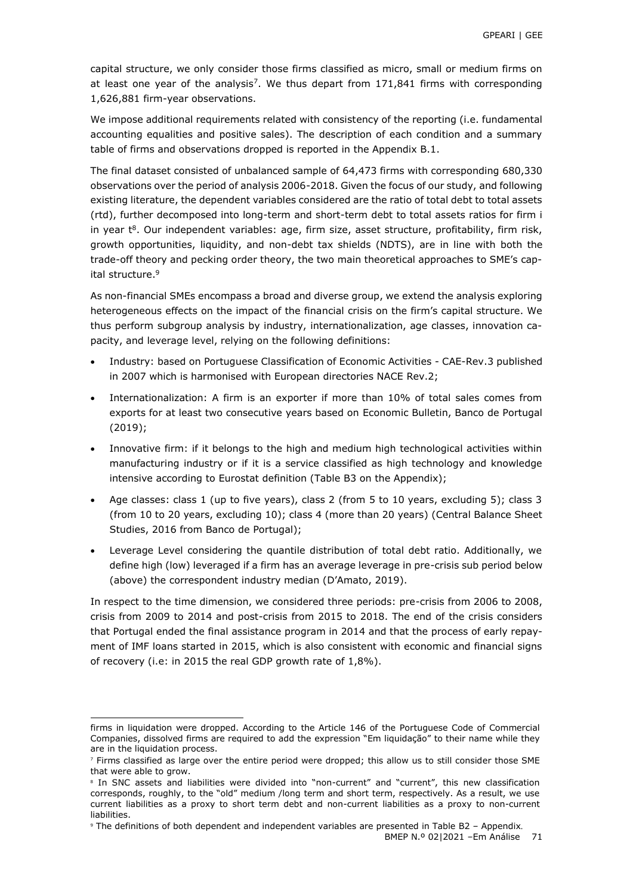capital structure, we only consider those firms classified as micro, small or medium firms on at least one year of the analysis<sup>7</sup>. We thus depart from  $171,841$  firms with corresponding 1,626,881 firm-year observations.

We impose additional requirements related with consistency of the reporting (i.e. fundamental accounting equalities and positive sales). The description of each condition and a summary table of firms and observations dropped is reported in the Appendix B.1.

The final dataset consisted of unbalanced sample of 64,473 firms with corresponding 680,330 observations over the period of analysis 2006-2018. Given the focus of our study, and following existing literature, the dependent variables considered are the ratio of total debt to total assets (rtd), further decomposed into long-term and short-term debt to total assets ratios for firm i in year  $t^8$ . Our independent variables: age, firm size, asset structure, profitability, firm risk, growth opportunities, liquidity, and non-debt tax shields (NDTS), are in line with both the trade-off theory and pecking order theory, the two main theoretical approaches to SME's capital structure.<sup>9</sup>

As non-financial SMEs encompass a broad and diverse group, we extend the analysis exploring heterogeneous effects on the impact of the financial crisis on the firm's capital structure. We thus perform subgroup analysis by industry, internationalization, age classes, innovation capacity, and leverage level, relying on the following definitions:

- Industry: based on Portuguese Classification of Economic Activities CAE-Rev.3 published in 2007 which is harmonised with European directories NACE Rev.2;
- Internationalization: A firm is an exporter if more than 10% of total sales comes from exports for at least two consecutive years based on Economic Bulletin, Banco de Portugal (2019);
- Innovative firm: if it belongs to the high and medium high technological activities within manufacturing industry or if it is a service classified as high technology and knowledge intensive according to Eurostat definition (Table B3 on the Appendix);
- Age classes: class 1 (up to five years), class 2 (from 5 to 10 years, excluding 5); class 3 (from 10 to 20 years, excluding 10); class 4 (more than 20 years) (Central Balance Sheet Studies, 2016 from Banco de Portugal);
- Leverage Level considering the quantile distribution of total debt ratio. Additionally, we define high (low) leveraged if a firm has an average leverage in pre-crisis sub period below (above) the correspondent industry median (D'Amato, 2019).

In respect to the time dimension, we considered three periods: pre-crisis from 2006 to 2008, crisis from 2009 to 2014 and post-crisis from 2015 to 2018. The end of the crisis considers that Portugal ended the final assistance program in 2014 and that the process of early repayment of IMF loans started in 2015, which is also consistent with economic and financial signs of recovery (i.e: in 2015 the real GDP growth rate of 1,8%).

-

firms in liquidation were dropped. According to the Article 146 of the Portuguese Code of Commercial Companies, dissolved firms are required to add the expression "Em liquidação" to their name while they are in the liquidation process.

<sup>7</sup> Firms classified as large over the entire period were dropped; this allow us to still consider those SME that were able to grow.

<sup>&</sup>lt;sup>8</sup> In SNC assets and liabilities were divided into "non-current" and "current", this new classification corresponds, roughly, to the "old" medium /long term and short term, respectively. As a result, we use current liabilities as a proxy to short term debt and non-current liabilities as a proxy to non-current liabilities.

<sup>9</sup> The definitions of both dependent and independent variables are presented in Table B2 – Appendix.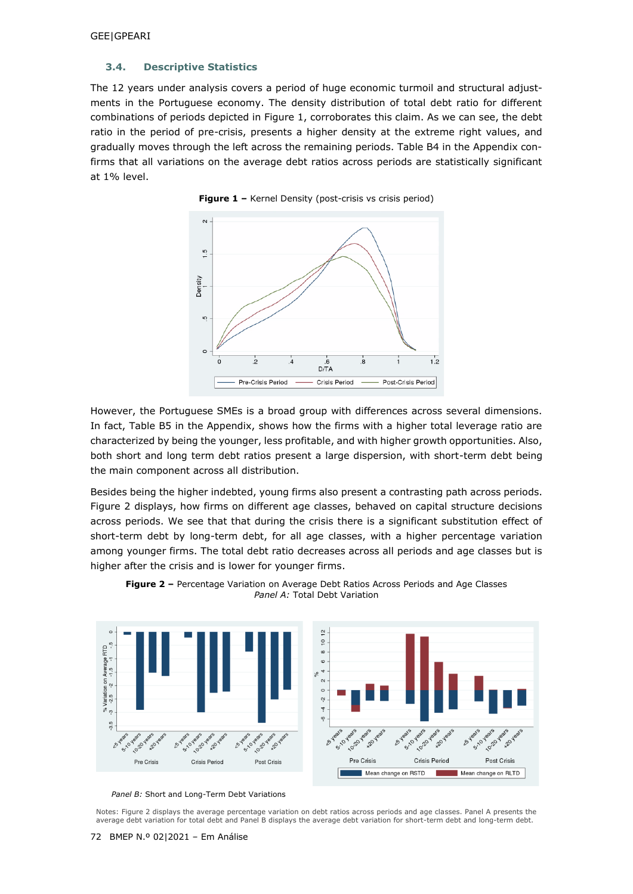## **3.4. Descriptive Statistics**

The 12 years under analysis covers a period of huge economic turmoil and structural adjustments in the Portuguese economy. The density distribution of total debt ratio for different combinations of periods depicted in Figure 1, corroborates this claim. As we can see, the debt ratio in the period of pre-crisis, presents a higher density at the extreme right values, and gradually moves through the left across the remaining periods. Table B4 in the Appendix confirms that all variations on the average debt ratios across periods are statistically significant at 1% level.





However, the Portuguese SMEs is a broad group with differences across several dimensions. In fact, Table B5 in the Appendix, shows how the firms with a higher total leverage ratio are characterized by being the younger, less profitable, and with higher growth opportunities. Also, both short and long term debt ratios present a large dispersion, with short-term debt being the main component across all distribution.

Besides being the higher indebted, young firms also present a contrasting path across periods. Figure 2 displays, how firms on different age classes, behaved on capital structure decisions across periods. We see that that during the crisis there is a significant substitution effect of short-term debt by long-term debt, for all age classes, with a higher percentage variation among younger firms. The total debt ratio decreases across all periods and age classes but is higher after the crisis and is lower for younger firms.



**Figure 2 –** Percentage Variation on Average Debt Ratios Across Periods and Age Classes *Panel A:* Total Debt Variation

*Panel B:* Short and Long-Term Debt Variations

Notes: Figure 2 displays the average percentage variation on debt ratios across periods and age classes. Panel A presents the average debt variation for total debt and Panel B displays the average debt variation for short-term debt and long-term debt.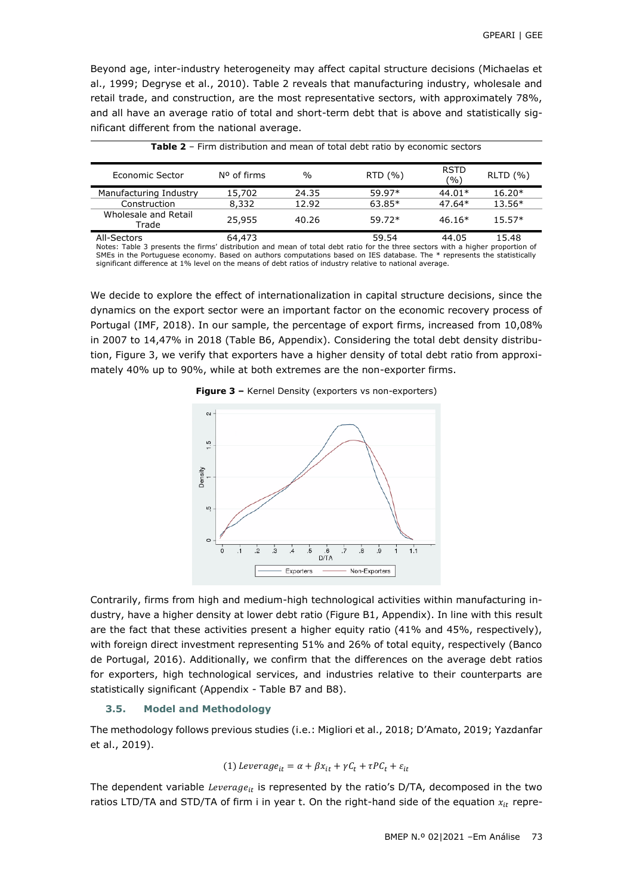Beyond age, inter-industry heterogeneity may affect capital structure decisions (Michaelas et al., 1999; Degryse et al., 2010). Table 2 reveals that manufacturing industry, wholesale and retail trade, and construction, are the most representative sectors, with approximately 78%, and all have an average ratio of total and short-term debt that is above and statistically significant different from the national average.

| Economic Sector               | N <sup>o</sup> of firms | $\frac{0}{0}$ | RTD(%    | <b>RSTD</b><br>(%` | RLTD (%) |
|-------------------------------|-------------------------|---------------|----------|--------------------|----------|
| Manufacturing Industry        | 15,702                  | 24.35         | 59.97*   | $44.01*$           | $16.20*$ |
| Construction                  | 8,332                   | 12.92         | $63.85*$ | $47.64*$           | $13.56*$ |
| Wholesale and Retail<br>Trade | 25,955                  | 40.26         | $59.72*$ | $46.16*$           | $15.57*$ |
| All-Sectors                   | 64,473                  |               | 59.54    | 44.05              | 15.48    |

| <b>Table 2</b> - Firm distribution and mean of total debt ratio by economic sectors |
|-------------------------------------------------------------------------------------|
|-------------------------------------------------------------------------------------|

Notes: Table 3 presents the firms' distribution and mean of total debt ratio for the three sectors with a higher proportion of SMEs in the Portuguese economy. Based on authors computations based on IES database. The \* represents the statistically significant difference at 1% level on the means of debt ratios of industry relative to national average.

We decide to explore the effect of internationalization in capital structure decisions, since the dynamics on the export sector were an important factor on the economic recovery process of Portugal (IMF, 2018). In our sample, the percentage of export firms, increased from 10,08% in 2007 to 14,47% in 2018 (Table B6, Appendix). Considering the total debt density distribution, Figure 3, we verify that exporters have a higher density of total debt ratio from approximately 40% up to 90%, while at both extremes are the non-exporter firms.

**Figure 3 –** Kernel Density (exporters vs non-exporters)



Contrarily, firms from high and medium-high technological activities within manufacturing industry, have a higher density at lower debt ratio (Figure B1, Appendix). In line with this result are the fact that these activities present a higher equity ratio (41% and 45%, respectively), with foreign direct investment representing 51% and 26% of total equity, respectively (Banco de Portugal, 2016). Additionally, we confirm that the differences on the average debt ratios for exporters, high technological services, and industries relative to their counterparts are statistically significant (Appendix - Table B7 and B8).

#### **3.5. Model and Methodology**

The methodology follows previous studies (i.e.: Migliori et al., 2018; D'Amato, 2019; Yazdanfar et al., 2019).

(1) 
$$
Leverage_{it} = \alpha + \beta x_{it} + \gamma C_t + \tau PC_t + \varepsilon_{it}
$$

The dependent variable Leverage<sub>it</sub> is represented by the ratio's D/TA, decomposed in the two ratios LTD/TA and STD/TA of firm i in year t. On the right-hand side of the equation  $x_{it}$  repre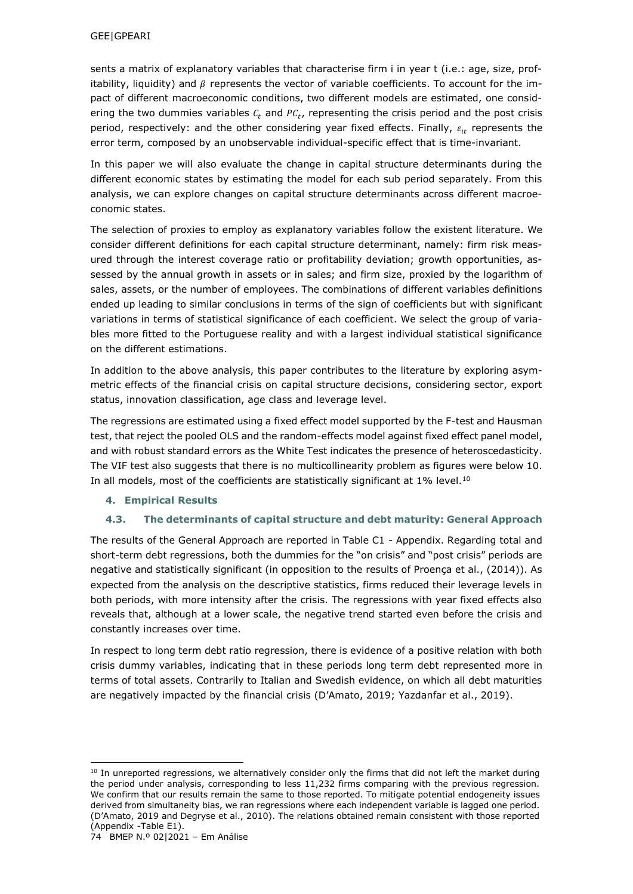sents a matrix of explanatory variables that characterise firm i in year t (i.e.: age, size, profitability, liquidity) and  $\beta$  represents the vector of variable coefficients. To account for the impact of different macroeconomic conditions, two different models are estimated, one considering the two dummies variables  $c_t$  and  $PC_t$ , representing the crisis period and the post crisis period, respectively: and the other considering year fixed effects. Finally,  $\varepsilon_{it}$  represents the error term, composed by an unobservable individual-specific effect that is time-invariant.

In this paper we will also evaluate the change in capital structure determinants during the different economic states by estimating the model for each sub period separately. From this analysis, we can explore changes on capital structure determinants across different macroeconomic states.

The selection of proxies to employ as explanatory variables follow the existent literature. We consider different definitions for each capital structure determinant, namely: firm risk measured through the interest coverage ratio or profitability deviation; growth opportunities, assessed by the annual growth in assets or in sales; and firm size, proxied by the logarithm of sales, assets, or the number of employees. The combinations of different variables definitions ended up leading to similar conclusions in terms of the sign of coefficients but with significant variations in terms of statistical significance of each coefficient. We select the group of variables more fitted to the Portuguese reality and with a largest individual statistical significance on the different estimations.

In addition to the above analysis, this paper contributes to the literature by exploring asymmetric effects of the financial crisis on capital structure decisions, considering sector, export status, innovation classification, age class and leverage level.

The regressions are estimated using a fixed effect model supported by the F-test and Hausman test, that reject the pooled OLS and the random-effects model against fixed effect panel model, and with robust standard errors as the White Test indicates the presence of heteroscedasticity. The VIF test also suggests that there is no multicollinearity problem as figures were below 10. In all models, most of the coefficients are statistically significant at 1% level.<sup>10</sup>

## **4. Empirical Results**

## **4.3. The determinants of capital structure and debt maturity: General Approach**

The results of the General Approach are reported in Table C1 - Appendix. Regarding total and short-term debt regressions, both the dummies for the "on crisis" and "post crisis" periods are negative and statistically significant (in opposition to the results of Proença et al., (2014)). As expected from the analysis on the descriptive statistics, firms reduced their leverage levels in both periods, with more intensity after the crisis. The regressions with year fixed effects also reveals that, although at a lower scale, the negative trend started even before the crisis and constantly increases over time.

In respect to long term debt ratio regression, there is evidence of a positive relation with both crisis dummy variables, indicating that in these periods long term debt represented more in terms of total assets. Contrarily to Italian and Swedish evidence, on which all debt maturities are negatively impacted by the financial crisis (D'Amato, 2019; Yazdanfar et al., 2019).

-

 $10$  In unreported regressions, we alternatively consider only the firms that did not left the market during the period under analysis, corresponding to less 11,232 firms comparing with the previous regression. We confirm that our results remain the same to those reported. To mitigate potential endogeneity issues derived from simultaneity bias, we ran regressions where each independent variable is lagged one period. (D'Amato, 2019 and Degryse et al., 2010). The relations obtained remain consistent with those reported (Appendix -Table E1).

<sup>74</sup> BMEP N.º 02|2021 – Em Análise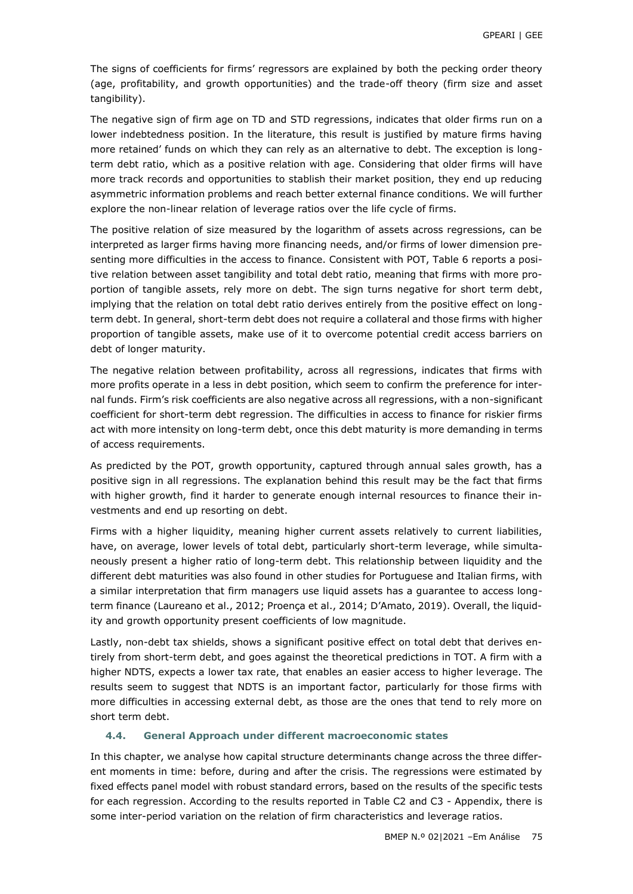The signs of coefficients for firms' regressors are explained by both the pecking order theory (age, profitability, and growth opportunities) and the trade-off theory (firm size and asset tangibility).

The negative sign of firm age on TD and STD regressions, indicates that older firms run on a lower indebtedness position. In the literature, this result is justified by mature firms having more retained' funds on which they can rely as an alternative to debt. The exception is longterm debt ratio, which as a positive relation with age. Considering that older firms will have more track records and opportunities to stablish their market position, they end up reducing asymmetric information problems and reach better external finance conditions. We will further explore the non-linear relation of leverage ratios over the life cycle of firms.

The positive relation of size measured by the logarithm of assets across regressions, can be interpreted as larger firms having more financing needs, and/or firms of lower dimension presenting more difficulties in the access to finance. Consistent with POT, Table 6 reports a positive relation between asset tangibility and total debt ratio, meaning that firms with more proportion of tangible assets, rely more on debt. The sign turns negative for short term debt, implying that the relation on total debt ratio derives entirely from the positive effect on longterm debt. In general, short-term debt does not require a collateral and those firms with higher proportion of tangible assets, make use of it to overcome potential credit access barriers on debt of longer maturity.

The negative relation between profitability, across all regressions, indicates that firms with more profits operate in a less in debt position, which seem to confirm the preference for internal funds. Firm's risk coefficients are also negative across all regressions, with a non-significant coefficient for short-term debt regression. The difficulties in access to finance for riskier firms act with more intensity on long-term debt, once this debt maturity is more demanding in terms of access requirements.

As predicted by the POT, growth opportunity, captured through annual sales growth, has a positive sign in all regressions. The explanation behind this result may be the fact that firms with higher growth, find it harder to generate enough internal resources to finance their investments and end up resorting on debt.

Firms with a higher liquidity, meaning higher current assets relatively to current liabilities, have, on average, lower levels of total debt, particularly short-term leverage, while simultaneously present a higher ratio of long-term debt. This relationship between liquidity and the different debt maturities was also found in other studies for Portuguese and Italian firms, with a similar interpretation that firm managers use liquid assets has a guarantee to access longterm finance (Laureano et al., 2012; Proença et al., 2014; D'Amato, 2019). Overall, the liquidity and growth opportunity present coefficients of low magnitude.

Lastly, non-debt tax shields, shows a significant positive effect on total debt that derives entirely from short-term debt, and goes against the theoretical predictions in TOT. A firm with a higher NDTS, expects a lower tax rate, that enables an easier access to higher leverage. The results seem to suggest that NDTS is an important factor, particularly for those firms with more difficulties in accessing external debt, as those are the ones that tend to rely more on short term debt.

## **4.4. General Approach under different macroeconomic states**

In this chapter, we analyse how capital structure determinants change across the three different moments in time: before, during and after the crisis. The regressions were estimated by fixed effects panel model with robust standard errors, based on the results of the specific tests for each regression. According to the results reported in Table C2 and C3 - Appendix, there is some inter-period variation on the relation of firm characteristics and leverage ratios.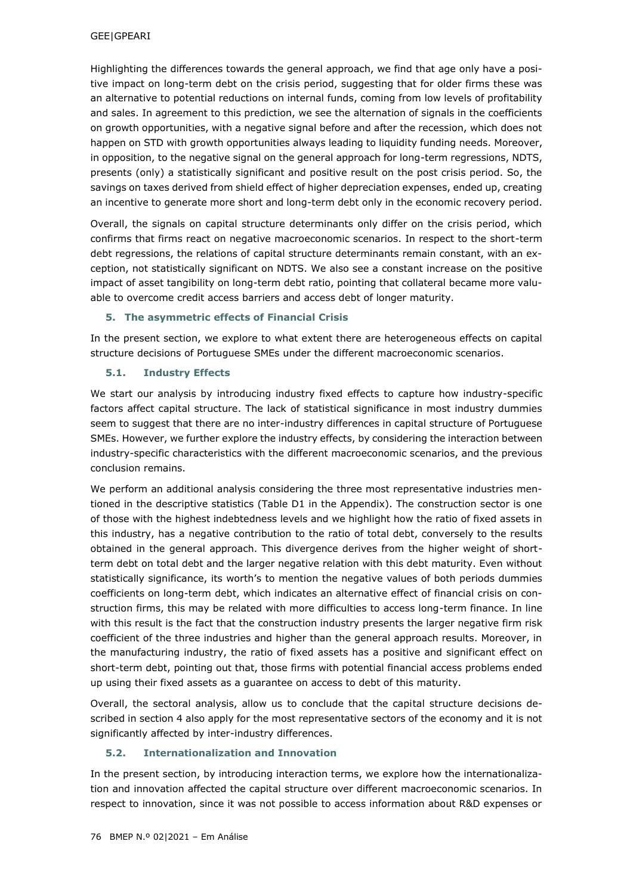Highlighting the differences towards the general approach, we find that age only have a positive impact on long-term debt on the crisis period, suggesting that for older firms these was an alternative to potential reductions on internal funds, coming from low levels of profitability and sales. In agreement to this prediction, we see the alternation of signals in the coefficients on growth opportunities, with a negative signal before and after the recession, which does not happen on STD with growth opportunities always leading to liquidity funding needs. Moreover, in opposition, to the negative signal on the general approach for long-term regressions, NDTS, presents (only) a statistically significant and positive result on the post crisis period. So, the savings on taxes derived from shield effect of higher depreciation expenses, ended up, creating an incentive to generate more short and long-term debt only in the economic recovery period.

Overall, the signals on capital structure determinants only differ on the crisis period, which confirms that firms react on negative macroeconomic scenarios. In respect to the short-term debt regressions, the relations of capital structure determinants remain constant, with an exception, not statistically significant on NDTS. We also see a constant increase on the positive impact of asset tangibility on long-term debt ratio, pointing that collateral became more valuable to overcome credit access barriers and access debt of longer maturity.

## **5. The asymmetric effects of Financial Crisis**

In the present section, we explore to what extent there are heterogeneous effects on capital structure decisions of Portuguese SMEs under the different macroeconomic scenarios.

## **5.1. Industry Effects**

We start our analysis by introducing industry fixed effects to capture how industry-specific factors affect capital structure. The lack of statistical significance in most industry dummies seem to suggest that there are no inter-industry differences in capital structure of Portuguese SMEs. However, we further explore the industry effects, by considering the interaction between industry-specific characteristics with the different macroeconomic scenarios, and the previous conclusion remains.

We perform an additional analysis considering the three most representative industries mentioned in the descriptive statistics (Table D1 in the Appendix). The construction sector is one of those with the highest indebtedness levels and we highlight how the ratio of fixed assets in this industry, has a negative contribution to the ratio of total debt, conversely to the results obtained in the general approach. This divergence derives from the higher weight of shortterm debt on total debt and the larger negative relation with this debt maturity. Even without statistically significance, its worth's to mention the negative values of both periods dummies coefficients on long-term debt, which indicates an alternative effect of financial crisis on construction firms, this may be related with more difficulties to access long-term finance. In line with this result is the fact that the construction industry presents the larger negative firm risk coefficient of the three industries and higher than the general approach results. Moreover, in the manufacturing industry, the ratio of fixed assets has a positive and significant effect on short-term debt, pointing out that, those firms with potential financial access problems ended up using their fixed assets as a guarantee on access to debt of this maturity.

Overall, the sectoral analysis, allow us to conclude that the capital structure decisions described in section 4 also apply for the most representative sectors of the economy and it is not significantly affected by inter-industry differences.

## **5.2. Internationalization and Innovation**

In the present section, by introducing interaction terms, we explore how the internationalization and innovation affected the capital structure over different macroeconomic scenarios. In respect to innovation, since it was not possible to access information about R&D expenses or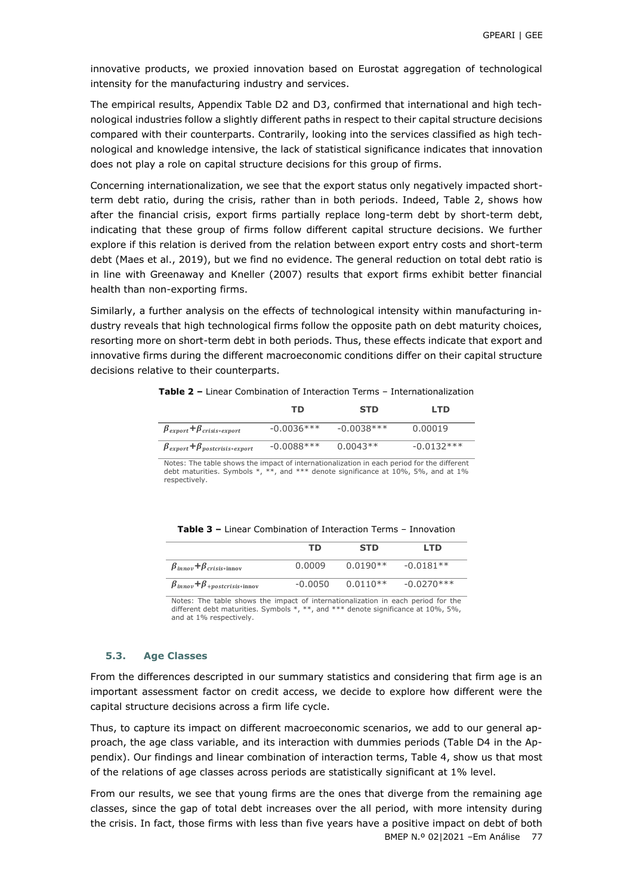innovative products, we proxied innovation based on Eurostat aggregation of technological intensity for the manufacturing industry and services.

The empirical results, Appendix Table D2 and D3, confirmed that international and high technological industries follow a slightly different paths in respect to their capital structure decisions compared with their counterparts. Contrarily, looking into the services classified as high technological and knowledge intensive, the lack of statistical significance indicates that innovation does not play a role on capital structure decisions for this group of firms.

Concerning internationalization, we see that the export status only negatively impacted shortterm debt ratio, during the crisis, rather than in both periods. Indeed, Table 2, shows how after the financial crisis, export firms partially replace long-term debt by short-term debt, indicating that these group of firms follow different capital structure decisions. We further explore if this relation is derived from the relation between export entry costs and short-term debt (Maes et al., 2019), but we find no evidence. The general reduction on total debt ratio is in line with Greenaway and Kneller (2007) results that export firms exhibit better financial health than non-exporting firms.

Similarly, a further analysis on the effects of technological intensity within manufacturing industry reveals that high technological firms follow the opposite path on debt maturity choices, resorting more on short-term debt in both periods. Thus, these effects indicate that export and innovative firms during the different macroeconomic conditions differ on their capital structure decisions relative to their counterparts.

|                                                                             | тn           | <b>STD</b>   | <b>LTD</b>   |
|-----------------------------------------------------------------------------|--------------|--------------|--------------|
| $\beta_{\text{export}} + \beta_{\text{crisis*export}}$                      | $-0.0036***$ | $-0.0038***$ | 0.00019      |
| $\beta_{\text{export}} + \beta_{\text{postcris} \text{is} * \text{export}}$ | $-0.0088***$ | $0.0043**$   | $-0.0132***$ |

**Table 2 –** Linear Combination of Interaction Terms – Internationalization

Notes: The table shows the impact of internationalization in each period for the different debt maturities. Symbols \*, \*\*, and \*\*\* denote significance at 10%, 5%, and at 1% respectively.

| <b>Table 3 - Linear Combination of Interaction Terms - Innovation</b> |  |
|-----------------------------------------------------------------------|--|
|-----------------------------------------------------------------------|--|

|                                           | тn      | <b>STD</b> | LTD.         |
|-------------------------------------------|---------|------------|--------------|
| $\beta_{innov} + \beta_{crisis*innov}$    | 0.0009  | $0.0190**$ | $-0.0181**$  |
| $\beta_{innov}+\beta_{+postcrisis*innov}$ | -0.0050 | $0.0110**$ | $-0.0270***$ |

Notes: The table shows the impact of internationalization in each period for the different debt maturities. Symbols \*, \*\*, and \*\*\* denote significance at 10%, 5%, and at 1% respectively.

### **5.3. Age Classes**

From the differences descripted in our summary statistics and considering that firm age is an important assessment factor on credit access, we decide to explore how different were the capital structure decisions across a firm life cycle.

Thus, to capture its impact on different macroeconomic scenarios, we add to our general approach, the age class variable, and its interaction with dummies periods (Table D4 in the Appendix). Our findings and linear combination of interaction terms, Table 4, show us that most of the relations of age classes across periods are statistically significant at 1% level.

BMEP N.º 02|2021 –Em Análise 77 From our results, we see that young firms are the ones that diverge from the remaining age classes, since the gap of total debt increases over the all period, with more intensity during the crisis. In fact, those firms with less than five years have a positive impact on debt of both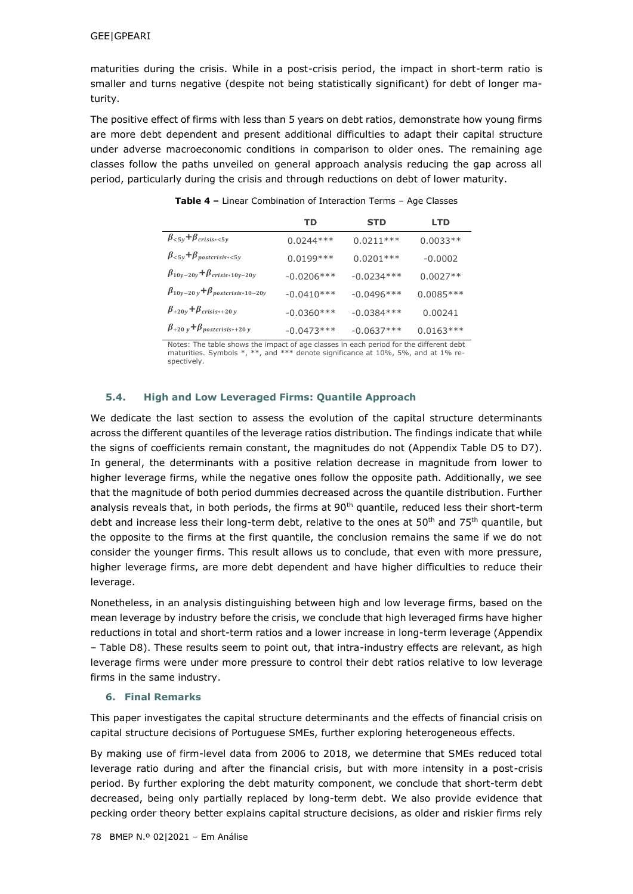maturities during the crisis. While in a post-crisis period, the impact in short-term ratio is smaller and turns negative (despite not being statistically significant) for debt of longer maturity.

The positive effect of firms with less than 5 years on debt ratios, demonstrate how young firms are more debt dependent and present additional difficulties to adapt their capital structure under adverse macroeconomic conditions in comparison to older ones. The remaining age classes follow the paths unveiled on general approach analysis reducing the gap across all period, particularly during the crisis and through reductions on debt of lower maturity.

|                                               | TD           | <b>STD</b>   | <b>LTD</b>  |
|-----------------------------------------------|--------------|--------------|-------------|
| $\beta_{<5y}+\beta_{crisis*<5y}$              | $0.0244***$  | $0.0211***$  | $0.0033**$  |
| $\beta_{<5y}+\beta_{postcrisis<5y}$           | $0.0199***$  | $0.0201***$  | $-0.0002$   |
| $\beta_{10y-20y} + \beta_{crisis*10y-20y}$    | $-0.0206***$ | $-0.0234***$ | $0.0027**$  |
| $\beta_{10y-20y} + \beta_{postcrisis*10-20y}$ | $-0.0410***$ | $-0.0496***$ | $0.0085***$ |
| $\beta_{+20y} + \beta_{crisis*+20y}$          | $-0.0360***$ | $-0.0384***$ | 0.00241     |
| $\beta$ +20 y + $\beta$ postcrisis*+20 y      | $-0.0473***$ | $-0.0637***$ | $0.0163***$ |

**Table 4 –** Linear Combination of Interaction Terms – Age Classes

Notes: The table shows the impact of age classes in each period for the different debt maturities. Symbols  $*$ ,  $**$ , and  $***$  denote significance at 10%, 5%, and at 1% respectively.

### **5.4. High and Low Leveraged Firms: Quantile Approach**

We dedicate the last section to assess the evolution of the capital structure determinants across the different quantiles of the leverage ratios distribution. The findings indicate that while the signs of coefficients remain constant, the magnitudes do not (Appendix Table D5 to D7). In general, the determinants with a positive relation decrease in magnitude from lower to higher leverage firms, while the negative ones follow the opposite path. Additionally, we see that the magnitude of both period dummies decreased across the quantile distribution. Further analysis reveals that, in both periods, the firms at 90<sup>th</sup> quantile, reduced less their short-term debt and increase less their long-term debt, relative to the ones at  $50<sup>th</sup>$  and  $75<sup>th</sup>$  quantile, but the opposite to the firms at the first quantile, the conclusion remains the same if we do not consider the younger firms. This result allows us to conclude, that even with more pressure, higher leverage firms, are more debt dependent and have higher difficulties to reduce their leverage.

Nonetheless, in an analysis distinguishing between high and low leverage firms, based on the mean leverage by industry before the crisis, we conclude that high leveraged firms have higher reductions in total and short-term ratios and a lower increase in long-term leverage (Appendix – Table D8). These results seem to point out, that intra-industry effects are relevant, as high leverage firms were under more pressure to control their debt ratios relative to low leverage firms in the same industry.

### **6. Final Remarks**

This paper investigates the capital structure determinants and the effects of financial crisis on capital structure decisions of Portuguese SMEs, further exploring heterogeneous effects.

By making use of firm-level data from 2006 to 2018, we determine that SMEs reduced total leverage ratio during and after the financial crisis, but with more intensity in a post-crisis period. By further exploring the debt maturity component, we conclude that short-term debt decreased, being only partially replaced by long-term debt. We also provide evidence that pecking order theory better explains capital structure decisions, as older and riskier firms rely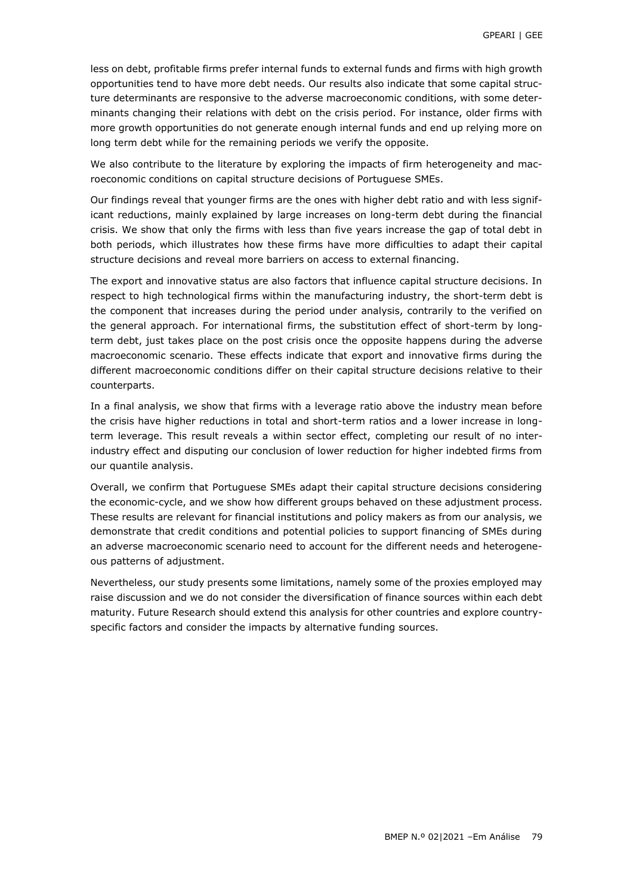less on debt, profitable firms prefer internal funds to external funds and firms with high growth opportunities tend to have more debt needs. Our results also indicate that some capital structure determinants are responsive to the adverse macroeconomic conditions, with some determinants changing their relations with debt on the crisis period. For instance, older firms with more growth opportunities do not generate enough internal funds and end up relying more on long term debt while for the remaining periods we verify the opposite.

We also contribute to the literature by exploring the impacts of firm heterogeneity and macroeconomic conditions on capital structure decisions of Portuguese SMEs.

Our findings reveal that younger firms are the ones with higher debt ratio and with less significant reductions, mainly explained by large increases on long-term debt during the financial crisis. We show that only the firms with less than five years increase the gap of total debt in both periods, which illustrates how these firms have more difficulties to adapt their capital structure decisions and reveal more barriers on access to external financing.

The export and innovative status are also factors that influence capital structure decisions. In respect to high technological firms within the manufacturing industry, the short-term debt is the component that increases during the period under analysis, contrarily to the verified on the general approach. For international firms, the substitution effect of short-term by longterm debt, just takes place on the post crisis once the opposite happens during the adverse macroeconomic scenario. These effects indicate that export and innovative firms during the different macroeconomic conditions differ on their capital structure decisions relative to their counterparts.

In a final analysis, we show that firms with a leverage ratio above the industry mean before the crisis have higher reductions in total and short-term ratios and a lower increase in longterm leverage. This result reveals a within sector effect, completing our result of no interindustry effect and disputing our conclusion of lower reduction for higher indebted firms from our quantile analysis.

Overall, we confirm that Portuguese SMEs adapt their capital structure decisions considering the economic-cycle, and we show how different groups behaved on these adjustment process. These results are relevant for financial institutions and policy makers as from our analysis, we demonstrate that credit conditions and potential policies to support financing of SMEs during an adverse macroeconomic scenario need to account for the different needs and heterogeneous patterns of adjustment.

Nevertheless, our study presents some limitations, namely some of the proxies employed may raise discussion and we do not consider the diversification of finance sources within each debt maturity. Future Research should extend this analysis for other countries and explore countryspecific factors and consider the impacts by alternative funding sources.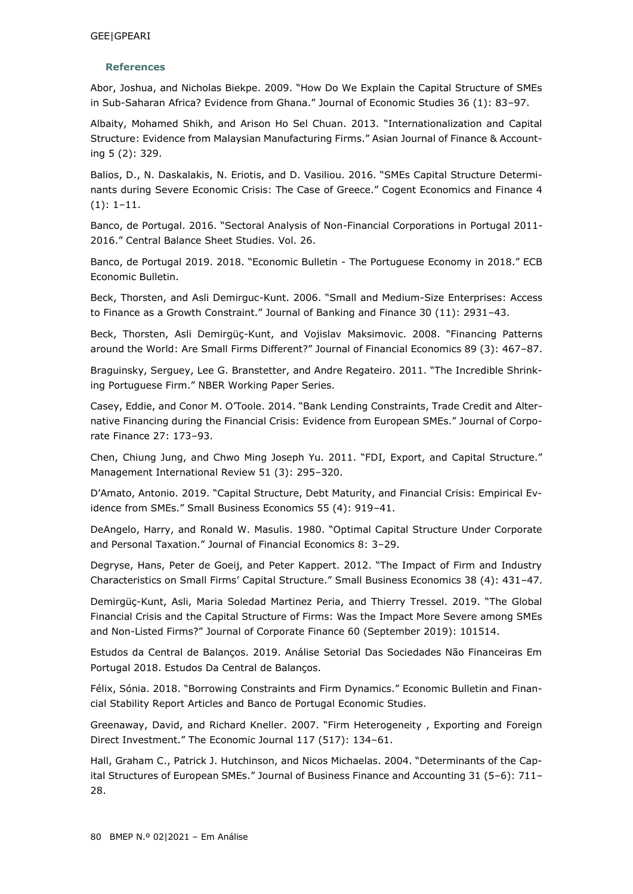## **References**

Abor, Joshua, and Nicholas Biekpe. 2009. "How Do We Explain the Capital Structure of SMEs in Sub-Saharan Africa? Evidence from Ghana." Journal of Economic Studies 36 (1): 83–97.

Albaity, Mohamed Shikh, and Arison Ho Sel Chuan. 2013. "Internationalization and Capital Structure: Evidence from Malaysian Manufacturing Firms." Asian Journal of Finance & Accounting 5 (2): 329.

Balios, D., N. Daskalakis, N. Eriotis, and D. Vasiliou. 2016. "SMEs Capital Structure Determinants during Severe Economic Crisis: The Case of Greece." Cogent Economics and Finance 4 (1): 1–11.

Banco, de Portugal. 2016. "Sectoral Analysis of Non-Financial Corporations in Portugal 2011- 2016." Central Balance Sheet Studies. Vol. 26.

Banco, de Portugal 2019. 2018. "Economic Bulletin - The Portuguese Economy in 2018." ECB Economic Bulletin.

Beck, Thorsten, and Asli Demirguc-Kunt. 2006. "Small and Medium-Size Enterprises: Access to Finance as a Growth Constraint." Journal of Banking and Finance 30 (11): 2931–43.

Beck, Thorsten, Asli Demirgüç-Kunt, and Vojislav Maksimovic. 2008. "Financing Patterns around the World: Are Small Firms Different?" Journal of Financial Economics 89 (3): 467–87.

Braguinsky, Serguey, Lee G. Branstetter, and Andre Regateiro. 2011. "The Incredible Shrinking Portuguese Firm." NBER Working Paper Series.

Casey, Eddie, and Conor M. O'Toole. 2014. "Bank Lending Constraints, Trade Credit and Alternative Financing during the Financial Crisis: Evidence from European SMEs." Journal of Corporate Finance 27: 173–93.

Chen, Chiung Jung, and Chwo Ming Joseph Yu. 2011. "FDI, Export, and Capital Structure." Management International Review 51 (3): 295–320.

D'Amato, Antonio. 2019. "Capital Structure, Debt Maturity, and Financial Crisis: Empirical Evidence from SMEs." Small Business Economics 55 (4): 919–41.

DeAngelo, Harry, and Ronald W. Masulis. 1980. "Optimal Capital Structure Under Corporate and Personal Taxation." Journal of Financial Economics 8: 3–29.

Degryse, Hans, Peter de Goeij, and Peter Kappert. 2012. "The Impact of Firm and Industry Characteristics on Small Firms' Capital Structure." Small Business Economics 38 (4): 431–47.

Demirgüç-Kunt, Asli, Maria Soledad Martinez Peria, and Thierry Tressel. 2019. "The Global Financial Crisis and the Capital Structure of Firms: Was the Impact More Severe among SMEs and Non-Listed Firms?" Journal of Corporate Finance 60 (September 2019): 101514.

Estudos da Central de Balanços. 2019. Análise Setorial Das Sociedades Não Financeiras Em Portugal 2018. Estudos Da Central de Balanços.

Félix, Sónia. 2018. "Borrowing Constraints and Firm Dynamics." Economic Bulletin and Financial Stability Report Articles and Banco de Portugal Economic Studies.

Greenaway, David, and Richard Kneller. 2007. "Firm Heterogeneity , Exporting and Foreign Direct Investment." The Economic Journal 117 (517): 134–61.

Hall, Graham C., Patrick J. Hutchinson, and Nicos Michaelas. 2004. "Determinants of the Capital Structures of European SMEs." Journal of Business Finance and Accounting 31 (5–6): 711– 28.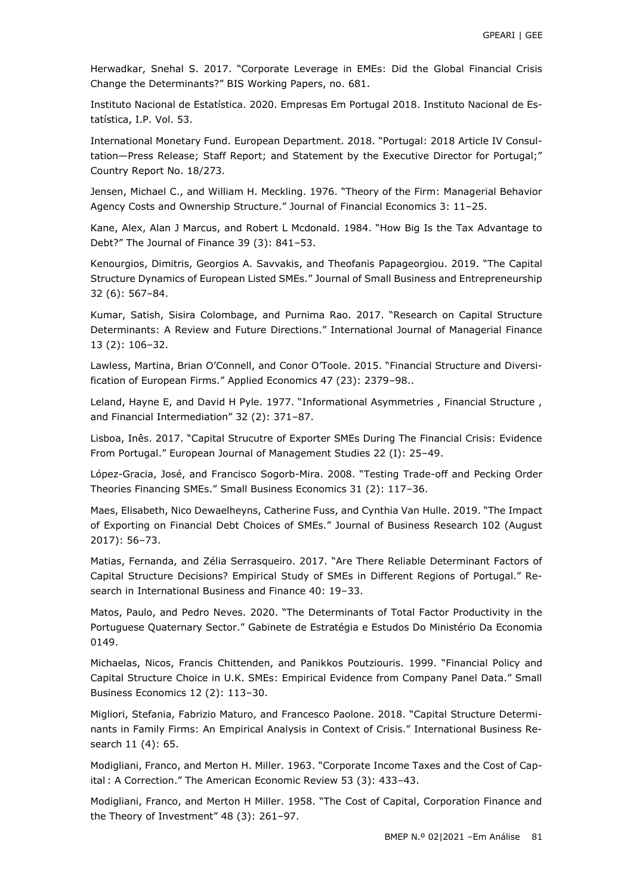Herwadkar, Snehal S. 2017. "Corporate Leverage in EMEs: Did the Global Financial Crisis Change the Determinants?" BIS Working Papers, no. 681.

Instituto Nacional de Estatística. 2020. Empresas Em Portugal 2018. Instituto Nacional de Estatística, I.P. Vol. 53.

International Monetary Fund. European Department. 2018. "Portugal: 2018 Article IV Consultation—Press Release; Staff Report; and Statement by the Executive Director for Portugal;" Country Report No. 18/273.

Jensen, Michael C., and William H. Meckling. 1976. "Theory of the Firm: Managerial Behavior Agency Costs and Ownership Structure." Journal of Financial Economics 3: 11–25.

Kane, Alex, Alan J Marcus, and Robert L Mcdonald. 1984. "How Big Is the Tax Advantage to Debt?" The Journal of Finance 39 (3): 841–53.

Kenourgios, Dimitris, Georgios A. Savvakis, and Theofanis Papageorgiou. 2019. "The Capital Structure Dynamics of European Listed SMEs." Journal of Small Business and Entrepreneurship 32 (6): 567–84.

Kumar, Satish, Sisira Colombage, and Purnima Rao. 2017. "Research on Capital Structure Determinants: A Review and Future Directions." International Journal of Managerial Finance 13 (2): 106–32.

Lawless, Martina, Brian O'Connell, and Conor O'Toole. 2015. "Financial Structure and Diversification of European Firms." Applied Economics 47 (23): 2379–98..

Leland, Hayne E, and David H Pyle. 1977. "Informational Asymmetries , Financial Structure , and Financial Intermediation" 32 (2): 371–87.

Lisboa, Inês. 2017. "Capital Strucutre of Exporter SMEs During The Financial Crisis: Evidence From Portugal." European Journal of Management Studies 22 (I): 25–49.

López-Gracia, José, and Francisco Sogorb-Mira. 2008. "Testing Trade-off and Pecking Order Theories Financing SMEs." Small Business Economics 31 (2): 117–36.

Maes, Elisabeth, Nico Dewaelheyns, Catherine Fuss, and Cynthia Van Hulle. 2019. "The Impact of Exporting on Financial Debt Choices of SMEs." Journal of Business Research 102 (August 2017): 56–73.

Matias, Fernanda, and Zélia Serrasqueiro. 2017. "Are There Reliable Determinant Factors of Capital Structure Decisions? Empirical Study of SMEs in Different Regions of Portugal." Research in International Business and Finance 40: 19–33.

Matos, Paulo, and Pedro Neves. 2020. "The Determinants of Total Factor Productivity in the Portuguese Quaternary Sector." Gabinete de Estratégia e Estudos Do Ministério Da Economia 0149.

Michaelas, Nicos, Francis Chittenden, and Panikkos Poutziouris. 1999. "Financial Policy and Capital Structure Choice in U.K. SMEs: Empirical Evidence from Company Panel Data." Small Business Economics 12 (2): 113–30.

Migliori, Stefania, Fabrizio Maturo, and Francesco Paolone. 2018. "Capital Structure Determinants in Family Firms: An Empirical Analysis in Context of Crisis." International Business Research 11 (4): 65.

Modigliani, Franco, and Merton H. Miller. 1963. "Corporate Income Taxes and the Cost of Capital : A Correction." The American Economic Review 53 (3): 433–43.

Modigliani, Franco, and Merton H Miller. 1958. "The Cost of Capital, Corporation Finance and the Theory of Investment" 48 (3): 261–97.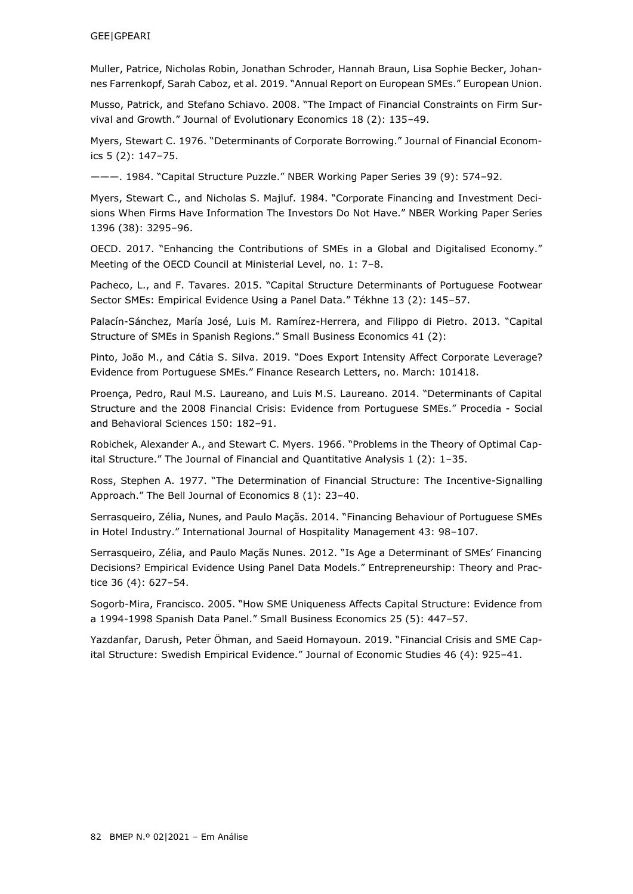#### GEE|GPEARI

Muller, Patrice, Nicholas Robin, Jonathan Schroder, Hannah Braun, Lisa Sophie Becker, Johannes Farrenkopf, Sarah Caboz, et al. 2019. "Annual Report on European SMEs." European Union.

Musso, Patrick, and Stefano Schiavo. 2008. "The Impact of Financial Constraints on Firm Survival and Growth." Journal of Evolutionary Economics 18 (2): 135–49.

Myers, Stewart C. 1976. "Determinants of Corporate Borrowing." Journal of Financial Economics 5 (2): 147–75.

———. 1984. "Capital Structure Puzzle." NBER Working Paper Series 39 (9): 574–92.

Myers, Stewart C., and Nicholas S. Majluf. 1984. "Corporate Financing and Investment Decisions When Firms Have Information The Investors Do Not Have." NBER Working Paper Series 1396 (38): 3295–96.

OECD. 2017. "Enhancing the Contributions of SMEs in a Global and Digitalised Economy." Meeting of the OECD Council at Ministerial Level, no. 1: 7–8.

Pacheco, L., and F. Tavares. 2015. "Capital Structure Determinants of Portuguese Footwear Sector SMEs: Empirical Evidence Using a Panel Data." Tékhne 13 (2): 145–57.

Palacín-Sánchez, María José, Luis M. Ramírez-Herrera, and Filippo di Pietro. 2013. "Capital Structure of SMEs in Spanish Regions." Small Business Economics 41 (2):

Pinto, João M., and Cátia S. Silva. 2019. "Does Export Intensity Affect Corporate Leverage? Evidence from Portuguese SMEs." Finance Research Letters, no. March: 101418.

Proença, Pedro, Raul M.S. Laureano, and Luis M.S. Laureano. 2014. "Determinants of Capital Structure and the 2008 Financial Crisis: Evidence from Portuguese SMEs." Procedia - Social and Behavioral Sciences 150: 182–91.

Robichek, Alexander A., and Stewart C. Myers. 1966. "Problems in the Theory of Optimal Capital Structure." The Journal of Financial and Quantitative Analysis 1 (2): 1–35.

Ross, Stephen A. 1977. "The Determination of Financial Structure: The Incentive-Signalling Approach." The Bell Journal of Economics 8 (1): 23–40.

Serrasqueiro, Zélia, Nunes, and Paulo Maçãs. 2014. "Financing Behaviour of Portuguese SMEs in Hotel Industry." International Journal of Hospitality Management 43: 98–107.

Serrasqueiro, Zélia, and Paulo Maçãs Nunes. 2012. "Is Age a Determinant of SMEs' Financing Decisions? Empirical Evidence Using Panel Data Models." Entrepreneurship: Theory and Practice 36 (4): 627–54.

Sogorb-Mira, Francisco. 2005. "How SME Uniqueness Affects Capital Structure: Evidence from a 1994-1998 Spanish Data Panel." Small Business Economics 25 (5): 447–57.

Yazdanfar, Darush, Peter Öhman, and Saeid Homayoun. 2019. "Financial Crisis and SME Capital Structure: Swedish Empirical Evidence." Journal of Economic Studies 46 (4): 925–41.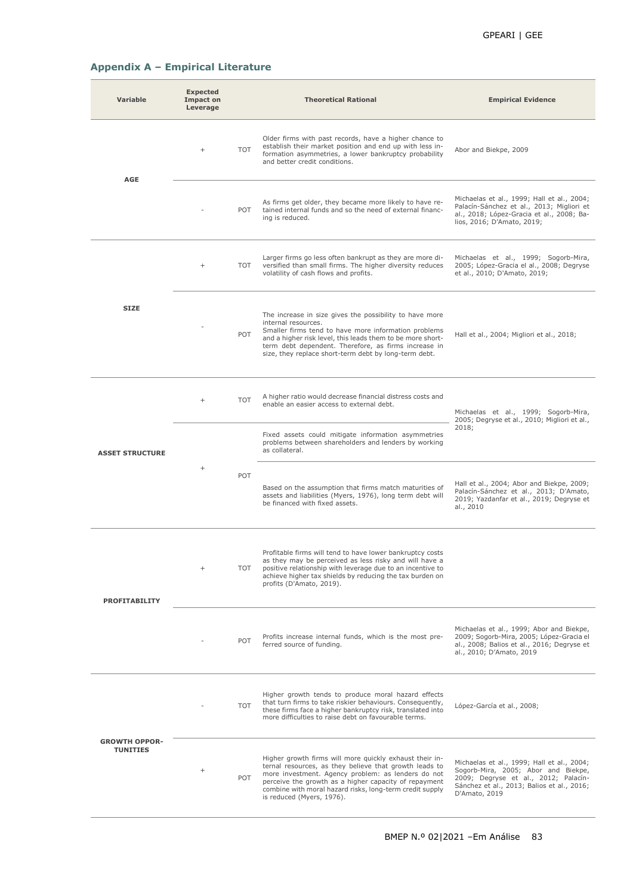# **Appendix A – Empirical Literature**

| Variable                                | <b>Expected</b><br><b>Impact on</b><br>Leverage |                                                         | <b>Theoretical Rational</b>                                                                                                                                                                                                                                                                                               | <b>Empirical Evidence</b>                                                                                                                                                                |  |
|-----------------------------------------|-------------------------------------------------|---------------------------------------------------------|---------------------------------------------------------------------------------------------------------------------------------------------------------------------------------------------------------------------------------------------------------------------------------------------------------------------------|------------------------------------------------------------------------------------------------------------------------------------------------------------------------------------------|--|
| <b>AGE</b>                              | $^{+}$                                          | <b>TOT</b>                                              | Older firms with past records, have a higher chance to<br>establish their market position and end up with less in-<br>formation asymmetries, a lower bankruptcy probability<br>and better credit conditions.                                                                                                              | Abor and Biekpe, 2009                                                                                                                                                                    |  |
|                                         |                                                 | POT                                                     | As firms get older, they became more likely to have re-<br>tained internal funds and so the need of external financ-<br>ing is reduced.                                                                                                                                                                                   | Michaelas et al., 1999; Hall et al., 2004;<br>Palacín-Sánchez et al., 2013; Migliori et<br>al., 2018; López-Gracia et al., 2008; Ba-<br>lios, 2016; D'Amato, 2019;                       |  |
|                                         | $^{+}$                                          | <b>TOT</b>                                              | Larger firms go less often bankrupt as they are more di-<br>versified than small firms. The higher diversity reduces<br>volatility of cash flows and profits.                                                                                                                                                             | Michaelas et al., 1999; Sogorb-Mira,<br>2005; López-Gracia el al., 2008; Degryse<br>et al., 2010; D'Amato, 2019;                                                                         |  |
| <b>SIZE</b>                             |                                                 | POT                                                     | The increase in size gives the possibility to have more<br>internal resources.<br>Smaller firms tend to have more information problems<br>and a higher risk level, this leads them to be more short-<br>term debt dependent. Therefore, as firms increase in<br>size, they replace short-term debt by long-term debt.     | Hall et al., 2004; Migliori et al., 2018;                                                                                                                                                |  |
|                                         | $^{+}$                                          | <b>TOT</b>                                              | A higher ratio would decrease financial distress costs and<br>enable an easier access to external debt.                                                                                                                                                                                                                   | Michaelas et al., 1999; Sogorb-Mira,<br>2005; Degryse et al., 2010; Migliori et al.,                                                                                                     |  |
| <b>ASSET STRUCTURE</b>                  |                                                 |                                                         | Fixed assets could mitigate information asymmetries<br>problems between shareholders and lenders by working<br>as collateral.                                                                                                                                                                                             | 2018;                                                                                                                                                                                    |  |
|                                         | $^{+}$                                          | POT                                                     | Based on the assumption that firms match maturities of<br>assets and liabilities (Myers, 1976), long term debt will<br>be financed with fixed assets.                                                                                                                                                                     | Hall et al., 2004; Abor and Biekpe, 2009;<br>Palacín-Sánchez et al., 2013; D'Amato,<br>2019; Yazdanfar et al., 2019; Degryse et<br>al., 2010                                             |  |
| <b>PROFITABILITY</b>                    | $^{+}$                                          | <b>TOT</b>                                              | Profitable firms will tend to have lower bankruptcy costs<br>as they may be perceived as less risky and will have a<br>positive relationship with leverage due to an incentive to<br>achieve higher tax shields by reducing the tax burden on<br>profits (D'Amato, 2019).                                                 |                                                                                                                                                                                          |  |
| POT<br>ferred source of funding.        |                                                 | Profits increase internal funds, which is the most pre- | Michaelas et al., 1999; Abor and Biekpe,<br>2009; Sogorb-Mira, 2005; López-Gracia el<br>al., 2008; Balios et al., 2016; Degryse et<br>al., 2010; D'Amato, 2019                                                                                                                                                            |                                                                                                                                                                                          |  |
|                                         |                                                 | <b>TOT</b>                                              | Higher growth tends to produce moral hazard effects<br>that turn firms to take riskier behaviours. Consequently,<br>these firms face a higher bankruptcy risk, translated into<br>more difficulties to raise debt on favourable terms.                                                                                    | López-García et al., 2008;                                                                                                                                                               |  |
| <b>GROWTH OPPOR-</b><br><b>TUNITIES</b> | $^{+}$                                          | POT                                                     | Higher growth firms will more quickly exhaust their in-<br>ternal resources, as they believe that growth leads to<br>more investment. Agency problem: as lenders do not<br>perceive the growth as a higher capacity of repayment<br>combine with moral hazard risks, long-term credit supply<br>is reduced (Myers, 1976). | Michaelas et al., 1999; Hall et al., 2004;<br>Sogorb-Mira, 2005; Abor and Biekpe,<br>2009; Degryse et al., 2012; Palacín-<br>Sánchez et al., 2013; Balios et al., 2016;<br>D'Amato, 2019 |  |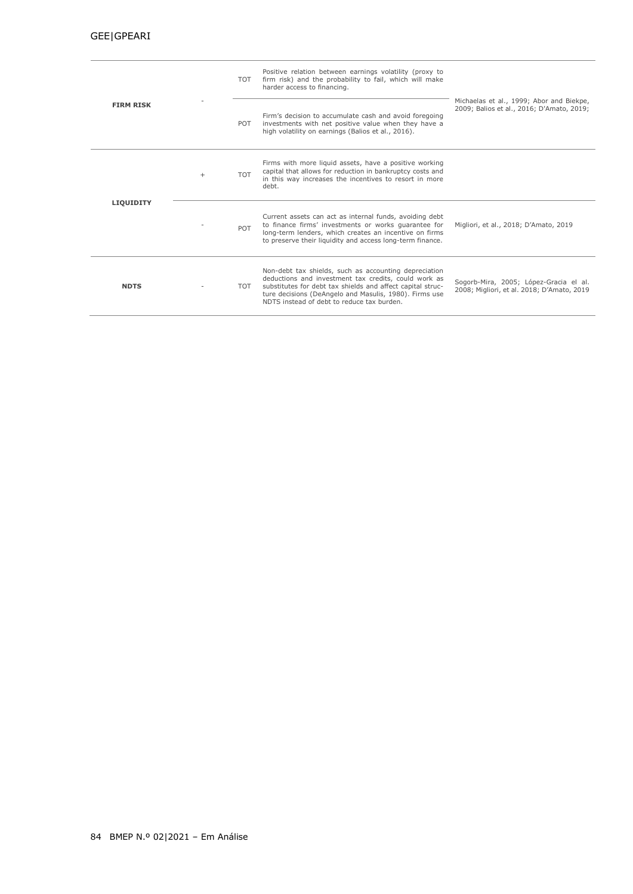|                  |        | TOT        | Positive relation between earnings volatility (proxy to<br>firm risk) and the probability to fail, which will make<br>harder access to financing.                                                                                                                                   |                                                                                       |
|------------------|--------|------------|-------------------------------------------------------------------------------------------------------------------------------------------------------------------------------------------------------------------------------------------------------------------------------------|---------------------------------------------------------------------------------------|
| <b>FIRM RISK</b> |        | POT        | Firm's decision to accumulate cash and avoid foregoing<br>investments with net positive value when they have a<br>high volatility on earnings (Balios et al., 2016).                                                                                                                | Michaelas et al., 1999; Abor and Biekpe,<br>2009; Balios et al., 2016; D'Amato, 2019; |
|                  | $^{+}$ | <b>TOT</b> | Firms with more liquid assets, have a positive working<br>capital that allows for reduction in bankruptcy costs and<br>in this way increases the incentives to resort in more<br>debt.                                                                                              |                                                                                       |
| <b>LIQUIDITY</b> |        | POT        | Current assets can act as internal funds, avoiding debt<br>to finance firms' investments or works quarantee for<br>long-term lenders, which creates an incentive on firms<br>to preserve their liquidity and access long-term finance.                                              | Migliori, et al., 2018; D'Amato, 2019                                                 |
| <b>NDTS</b>      |        | TOT        | Non-debt tax shields, such as accounting depreciation<br>deductions and investment tax credits, could work as<br>substitutes for debt tax shields and affect capital struc-<br>ture decisions (DeAngelo and Masulis, 1980). Firms use<br>NDTS instead of debt to reduce tax burden. | Sogorb-Mira, 2005; López-Gracia el al.<br>2008; Migliori, et al. 2018; D'Amato, 2019  |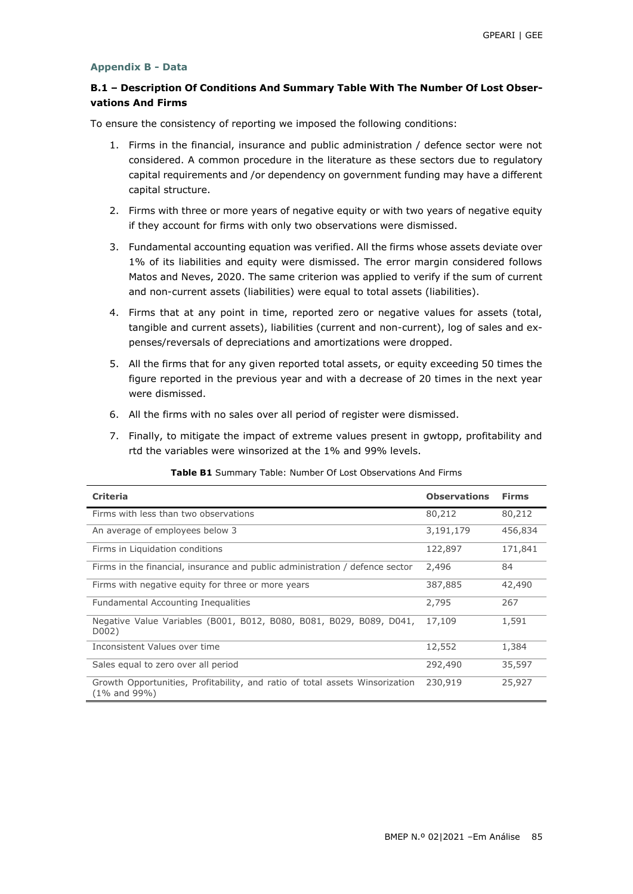#### **Appendix B - Data**

# **B.1 – Description Of Conditions And Summary Table With The Number Of Lost Observations And Firms**

To ensure the consistency of reporting we imposed the following conditions:

- 1. Firms in the financial, insurance and public administration / defence sector were not considered. A common procedure in the literature as these sectors due to regulatory capital requirements and /or dependency on government funding may have a different capital structure.
- 2. Firms with three or more years of negative equity or with two years of negative equity if they account for firms with only two observations were dismissed.
- 3. Fundamental accounting equation was verified. All the firms whose assets deviate over 1% of its liabilities and equity were dismissed. The error margin considered follows Matos and Neves, 2020. The same criterion was applied to verify if the sum of current and non-current assets (liabilities) were equal to total assets (liabilities).
- 4. Firms that at any point in time, reported zero or negative values for assets (total, tangible and current assets), liabilities (current and non-current), log of sales and expenses/reversals of depreciations and amortizations were dropped.
- 5. All the firms that for any given reported total assets, or equity exceeding 50 times the figure reported in the previous year and with a decrease of 20 times in the next year were dismissed.
- 6. All the firms with no sales over all period of register were dismissed.
- 7. Finally, to mitigate the impact of extreme values present in gwtopp, profitability and rtd the variables were winsorized at the 1% and 99% levels.

| <b>Criteria</b>                                                                              | <b>Observations</b> | <b>Firms</b> |
|----------------------------------------------------------------------------------------------|---------------------|--------------|
| Firms with less than two observations                                                        | 80,212              | 80,212       |
| An average of employees below 3                                                              | 3,191,179           | 456,834      |
| Firms in Liquidation conditions                                                              | 122,897             | 171,841      |
| Firms in the financial, insurance and public administration / defence sector                 | 2,496               | 84           |
| Firms with negative equity for three or more years                                           | 387,885             | 42,490       |
| Fundamental Accounting Inequalities                                                          | 2,795               | 267          |
| Negative Value Variables (B001, B012, B080, B081, B029, B089, D041,<br>D002)                 | 17,109              | 1,591        |
| Inconsistent Values over time                                                                | 12,552              | 1,384        |
| Sales equal to zero over all period                                                          | 292,490             | 35,597       |
| Growth Opportunities, Profitability, and ratio of total assets Winsorization<br>(1% and 99%) | 230,919             | 25,927       |

#### **Table B1** Summary Table: Number Of Lost Observations And Firms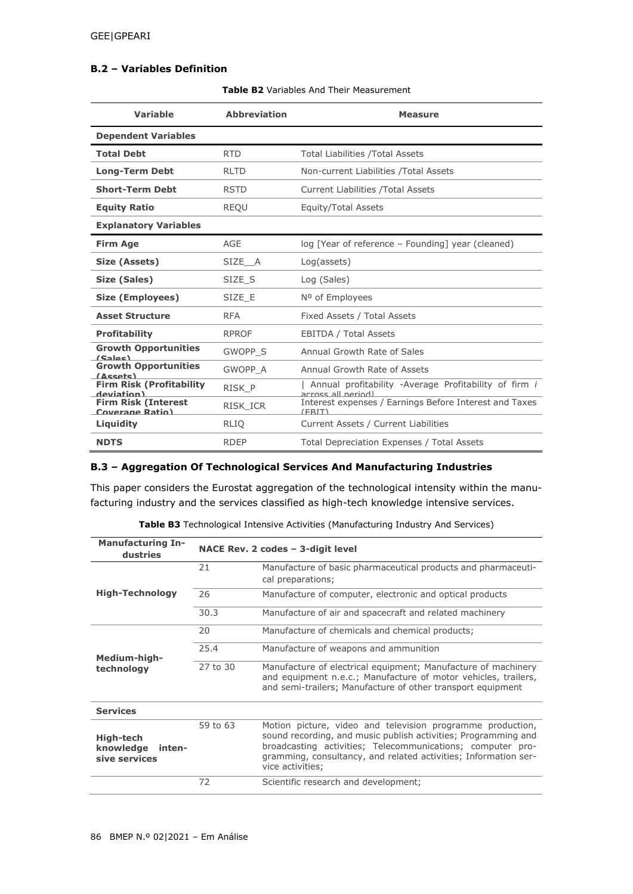## **B.2 – Variables Definition**

|  |  | <b>Table B2</b> Variables And Their Measurement |  |  |
|--|--|-------------------------------------------------|--|--|
|--|--|-------------------------------------------------|--|--|

| <b>Variable</b>                               | <b>Abbreviation</b> | <b>Measure</b>                                                              |
|-----------------------------------------------|---------------------|-----------------------------------------------------------------------------|
| <b>Dependent Variables</b>                    |                     |                                                                             |
| <b>Total Debt</b>                             | <b>RTD</b>          | <b>Total Liabilities / Total Assets</b>                                     |
| <b>Long-Term Debt</b>                         | <b>RLTD</b>         | Non-current Liabilities / Total Assets                                      |
| <b>Short-Term Debt</b>                        | <b>RSTD</b>         | <b>Current Liabilities / Total Assets</b>                                   |
| <b>Equity Ratio</b>                           | <b>REQU</b>         | Equity/Total Assets                                                         |
| <b>Explanatory Variables</b>                  |                     |                                                                             |
| <b>Firm Age</b>                               | AGE                 | log [Year of reference - Founding] year (cleaned)                           |
| Size (Assets)                                 | SIZE A              | Log(assets)                                                                 |
| Size (Sales)                                  | SIZE S              | Log (Sales)                                                                 |
| Size (Employees)                              | SIZE E              | Nº of Employees                                                             |
| <b>Asset Structure</b>                        | <b>RFA</b>          | Fixed Assets / Total Assets                                                 |
| <b>Profitability</b>                          | <b>RPROF</b>        | <b>EBITDA / Total Assets</b>                                                |
| <b>Growth Opportunities</b><br>(Salec)        | GWOPP S             | Annual Growth Rate of Sales                                                 |
| <b>Growth Opportunities</b><br>(Assats)       | GWOPP A             | Annual Growth Rate of Assets                                                |
| <b>Firm Risk (Profitability</b><br>deviation) | RISK_P              | Annual profitability -Average Profitability of firm i<br>across all neriodl |
| <b>Firm Risk (Interest</b><br>Coverage Ratio) | RISK ICR            | Interest expenses / Earnings Before Interest and Taxes<br>(FRIT)            |
| Liquidity                                     | <b>RLIO</b>         | Current Assets / Current Liabilities                                        |
| <b>NDTS</b>                                   | <b>RDEP</b>         | Total Depreciation Expenses / Total Assets                                  |

## **B.3 – Aggregation Of Technological Services And Manufacturing Industries**

This paper considers the Eurostat aggregation of the technological intensity within the manufacturing industry and the services classified as high-tech knowledge intensive services.

| <b>Manufacturing In-</b><br>dustries              |          | NACE Rev. 2 codes $-$ 3-digit level                                                                                                                                                                                                                                               |  |  |
|---------------------------------------------------|----------|-----------------------------------------------------------------------------------------------------------------------------------------------------------------------------------------------------------------------------------------------------------------------------------|--|--|
|                                                   | 21       | Manufacture of basic pharmaceutical products and pharmaceuti-<br>cal preparations;                                                                                                                                                                                                |  |  |
| <b>High-Technology</b>                            | 26       | Manufacture of computer, electronic and optical products                                                                                                                                                                                                                          |  |  |
|                                                   | 30.3     | Manufacture of air and spacecraft and related machinery                                                                                                                                                                                                                           |  |  |
|                                                   | 20       | Manufacture of chemicals and chemical products;                                                                                                                                                                                                                                   |  |  |
| Medium-high-                                      | 25.4     | Manufacture of weapons and ammunition                                                                                                                                                                                                                                             |  |  |
| technology                                        | 27 to 30 | Manufacture of electrical equipment; Manufacture of machinery<br>and equipment n.e.c.; Manufacture of motor vehicles, trailers,<br>and semi-trailers; Manufacture of other transport equipment                                                                                    |  |  |
| <b>Services</b>                                   |          |                                                                                                                                                                                                                                                                                   |  |  |
| High-tech<br>knowledge<br>inten-<br>sive services | 59 to 63 | Motion picture, video and television programme production,<br>sound recording, and music publish activities; Programming and<br>broadcasting activities; Telecommunications; computer pro-<br>gramming, consultancy, and related activities; Information ser-<br>vice activities; |  |  |
|                                                   | 72       | Scientific research and development;                                                                                                                                                                                                                                              |  |  |

**Table B3** Technological Intensive Activities (Manufacturing Industry And Services)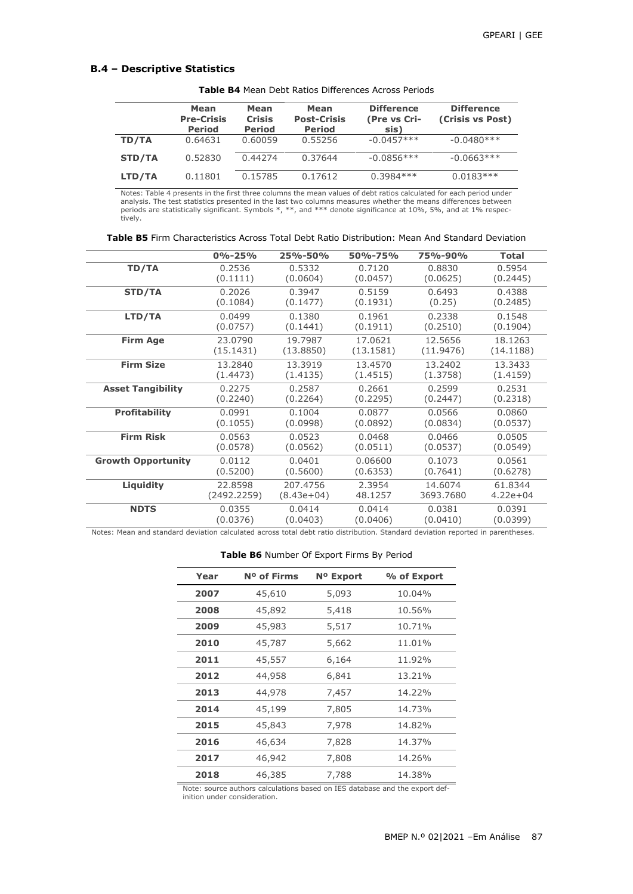### **B.4 – Descriptive Statistics**

|               | Mean<br><b>Pre-Crisis</b><br><b>Period</b> | Mean<br><b>Crisis</b><br><b>Period</b> | Mean<br><b>Post-Crisis</b><br><b>Period</b> | <b>Difference</b><br>(Pre vs Cri-<br>sis) | <b>Difference</b><br>(Crisis vs Post) |
|---------------|--------------------------------------------|----------------------------------------|---------------------------------------------|-------------------------------------------|---------------------------------------|
| TD/TA         | 0.64631                                    | 0.60059                                | 0.55256                                     | $-0.0457***$                              | $-0.0480***$                          |
| <b>STD/TA</b> | 0.52830                                    | 0.44274                                | 0.37644                                     | $-0.0856***$                              | $-0.0663***$                          |
| LTD/TA        | 0.11801                                    | 0.15785                                | 0.17612                                     | $0.3984***$                               | $0.0183***$                           |

**Table B4** Mean Debt Ratios Differences Across Periods

Notes: Table 4 presents in the first three columns the mean values of debt ratios calculated for each period under analysis. The test statistics presented in the last two columns measures whether the means differences between<br>periods are statistically significant. Symbols \*, \*\*, and \*\*\* denote significance at 10%, 5%, and at 1% respec-

| <b>Table B5</b> Firm Characteristics Across Total Debt Ratio Distribution: Mean And Standard Deviation |  |  |
|--------------------------------------------------------------------------------------------------------|--|--|
|--------------------------------------------------------------------------------------------------------|--|--|

|                           | $0% - 25%$  | 25%-50%    | 50%-75%   | 75%-90%   | <b>Total</b> |
|---------------------------|-------------|------------|-----------|-----------|--------------|
| TD/TA                     | 0.2536      | 0.5332     | 0.7120    | 0.8830    | 0.5954       |
|                           | (0.1111)    | (0.0604)   | (0.0457)  | (0.0625)  | (0.2445)     |
| STD/TA                    | 0.2026      | 0.3947     | 0.5159    | 0.6493    | 0.4388       |
|                           | (0.1084)    | (0.1477)   | (0.1931)  | (0.25)    | (0.2485)     |
| LTD/TA                    | 0.0499      | 0.1380     | 0.1961    | 0.2338    | 0.1548       |
|                           | (0.0757)    | (0.1441)   | (0.1911)  | (0.2510)  | (0.1904)     |
| <b>Firm Age</b>           | 23.0790     | 19.7987    | 17.0621   | 12.5656   | 18.1263      |
|                           | (15.1431)   | (13.8850)  | (13.1581) | (11.9476) | (14.1188)    |
| <b>Firm Size</b>          | 13.2840     | 13.3919    | 13.4570   | 13.2402   | 13.3433      |
|                           | (1.4473)    | (1.4135)   | (1.4515)  | (1.3758)  | (1.4159)     |
| <b>Asset Tangibility</b>  | 0.2275      | 0.2587     | 0.2661    | 0.2599    | 0.2531       |
|                           | (0.2240)    | (0.2264)   | (0.2295)  | (0.2447)  | (0.2318)     |
| <b>Profitability</b>      | 0.0991      | 0.1004     | 0.0877    | 0.0566    | 0.0860       |
|                           | (0.1055)    | (0.0998)   | (0.0892)  | (0.0834)  | (0.0537)     |
| <b>Firm Risk</b>          | 0.0563      | 0.0523     | 0.0468    | 0.0466    | 0.0505       |
|                           | (0.0578)    | (0.0562)   | (0.0511)  | (0.0537)  | (0.0549)     |
| <b>Growth Opportunity</b> | 0.0112      | 0.0401     | 0.06600   | 0.1073    | 0.0561       |
|                           | (0.5200)    | (0.5600)   | (0.6353)  | (0.7641)  | (0.6278)     |
| Liquidity                 | 22.8598     | 207.4756   | 2.3954    | 14.6074   | 61.8344      |
|                           | (2492.2259) | (8.43e+04) | 48.1257   | 3693.7680 | $4.22e + 04$ |
| <b>NDTS</b>               | 0.0355      | 0.0414     | 0.0414    | 0.0381    | 0.0391       |
|                           | (0.0376)    | (0.0403)   | (0.0406)  | (0.0410)  | (0.0399)     |

Notes: Mean and standard deviation calculated across total debt ratio distribution. Standard deviation reported in parentheses.

#### **Table B6** Number Of Export Firms By Period

| Year | N <sup>o</sup> of Firms | N <sup>o</sup> Export | % of Export |
|------|-------------------------|-----------------------|-------------|
| 2007 | 45,610                  | 5,093                 | 10.04%      |
| 2008 | 45,892                  | 5,418                 | 10.56%      |
| 2009 | 45,983                  | 5,517                 | 10.71%      |
| 2010 | 45,787                  | 5,662                 | 11.01%      |
| 2011 | 45,557                  | 6,164                 | 11.92%      |
| 2012 | 44,958                  | 6,841                 | 13.21%      |
| 2013 | 44,978                  | 7,457                 | 14.22%      |
| 2014 | 45,199                  | 7,805                 | 14.73%      |
| 2015 | 45,843                  | 7,978                 | 14.82%      |
| 2016 | 46,634                  | 7,828                 | 14.37%      |
| 2017 | 46,942                  | 7,808                 | 14.26%      |
| 2018 | 46,385                  | 7,788                 | 14.38%      |

Note: source authors calculations based on IES database and the export def-inition under consideration.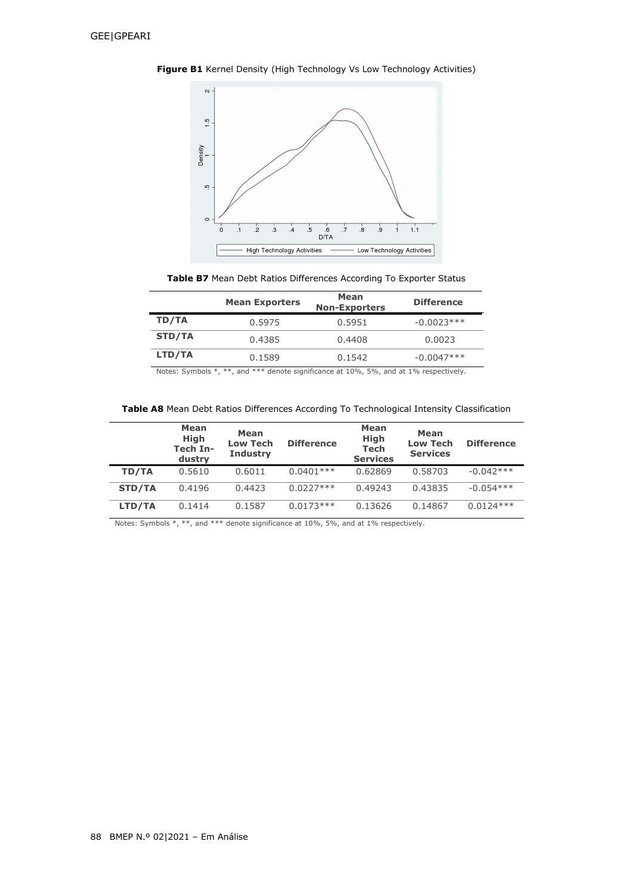



**Table B7** Mean Debt Ratios Differences According To Exporter Status

| <b>Mean Exporters</b> | Mean<br><b>Non-Exporters</b>                                                                                                                                                                                                   | <b>Difference</b>               |
|-----------------------|--------------------------------------------------------------------------------------------------------------------------------------------------------------------------------------------------------------------------------|---------------------------------|
| 0.5975                | 0.5951                                                                                                                                                                                                                         | $-0.0023***$                    |
| 0.4385                | 0.4408                                                                                                                                                                                                                         | 0.0023                          |
| 0.1589                | 0.1542                                                                                                                                                                                                                         | $-0.0047***$                    |
|                       | the contract of the contract of the contract of the contract of the contract of the contract of the contract of the contract of the contract of the contract of the contract of the contract of the contract of the contract o | $\cdots$ $\cdots$ $\cdots$<br>. |

Notes: Symbols \*, \*\*, and \*\*\* denote significance at 10%, 5%, and at 1% respectively.

|               | Mean<br><b>High</b><br>Tech In-<br>dustry | Mean<br><b>Low Tech</b><br><b>Industry</b> | <b>Difference</b> | Mean<br><b>High</b><br><b>Tech</b><br><b>Services</b> | Mean<br><b>Low Tech</b><br><b>Services</b> | <b>Difference</b> |
|---------------|-------------------------------------------|--------------------------------------------|-------------------|-------------------------------------------------------|--------------------------------------------|-------------------|
| TD/TA         | 0.5610                                    | 0.6011                                     | $0.0401***$       | 0.62869                                               | 0.58703                                    | $-0.042***$       |
| <b>STD/TA</b> | 0.4196                                    | 0.4423                                     | $0.0227***$       | 0.49243                                               | 0.43835                                    | $-0.054***$       |
| LTD/TA        | 0.1414                                    | 0.1587                                     | $0.0173***$       | 0.13626                                               | 0.14867                                    | $0.0124***$       |

Notes: Symbols \*, \*\*, and \*\*\* denote significance at 10%, 5%, and at 1% respectively.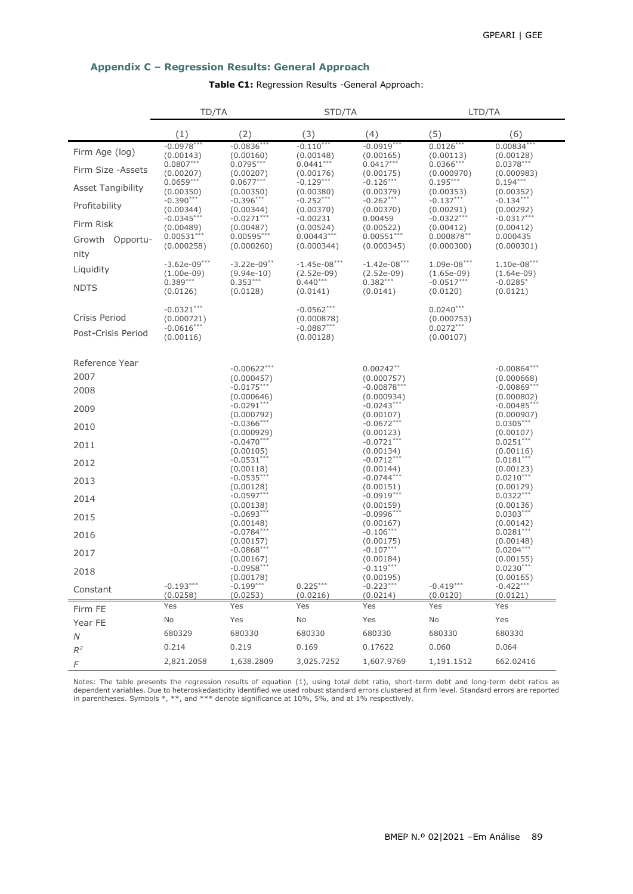## **Appendix C – Regression Results: General Approach**

## **Table C1:** Regression Results -General Approach:

|                                     | TD/TA                                                   |                                      | STD/TA                                                  |                                      | LTD/TA                                                |                                      |
|-------------------------------------|---------------------------------------------------------|--------------------------------------|---------------------------------------------------------|--------------------------------------|-------------------------------------------------------|--------------------------------------|
|                                     | (1)                                                     | (2)                                  | (3)                                                     | (4)                                  | (5)                                                   | (6)                                  |
| Firm Age (log)                      | $-0.0978***$<br>(0.00143)                               | $-0.0836***$<br>(0.00160)            | $-0.110***$<br>(0.00148)                                | $-0.0919***$<br>(0.00165)            | $0.0126***$<br>(0.00113)                              | $0.00834***$<br>(0.00128)            |
| Firm Size - Assets                  | $0.0807***$<br>(0.00207)                                | $0.0795***$<br>(0.00207)             | $0.0441***$<br>(0.00176)                                | $0.0417***$<br>(0.00175)             | $0.0366***$<br>(0.000970)                             | $0.0378***$<br>(0.000983)            |
| <b>Asset Tangibility</b>            | $0.0659***$<br>(0.00350)                                | $0.0677***$<br>(0.00350)             | $-0.129***$<br>(0.00380)                                | $-0.126***$<br>(0.00379)             | $0.195***$<br>(0.00353)                               | $0.194***$<br>(0.00352)              |
| Profitability                       | $-0.390***$<br>(0.00344)                                | $-0.396***$<br>(0.00344)             | $-0.252***$<br>(0.00370)                                | $-0.262***$<br>(0.00370)             | $-0.137***$<br>(0.00291)                              | $-0.134***$<br>(0.00292)             |
| Firm Risk                           | $-0.0345***$<br>(0.00489)                               | $-0.0271***$<br>(0.00487)            | $-0.00231$<br>(0.00524)                                 | 0.00459<br>(0.00522)                 | $-0.0322***$<br>(0.00412)                             | $-0.0317***$<br>(0.00412)            |
| Growth Opportu-<br>nity             | $0.00531***$<br>(0.000258)                              | $0.00595***$<br>(0.000260)           | $0.00443***$<br>(0.000344)                              | $0.00551***$<br>(0.000345)           | 0.000878**<br>(0.000300)                              | 0.000435<br>(0.000301)               |
| Liquidity                           | $-3.62e-09***$<br>$(1.00e-09)$                          | $-3.22e-09$ **<br>$(9.94e-10)$       | $-1.45e-08***$<br>$(2.52e-09)$                          | $-1.42e-08***$<br>$(2.52e-09)$       | $1.09e-08***$<br>$(1.65e-09)$                         | $1.10e-08***$<br>$(1.64e-09)$        |
| <b>NDTS</b>                         | $0.389***$<br>(0.0126)                                  | $0.353***$<br>(0.0128)               | $0.440***$<br>(0.0141)                                  | $0.382***$<br>(0.0141)               | $-0.0517***$<br>(0.0120)                              | $-0.0285$ <sup>*</sup><br>(0.0121)   |
| Crisis Period<br>Post-Crisis Period | $-0.0321***$<br>(0.000721)<br>$-0.0616***$<br>(0.00116) |                                      | $-0.0562***$<br>(0.000878)<br>$-0.0887***$<br>(0.00128) |                                      | $0.0240***$<br>(0.000753)<br>$0.0272***$<br>(0.00107) |                                      |
| Reference Year                      |                                                         | $-0.00622***$                        |                                                         | $0.00242**$                          |                                                       | $-0.00864***$                        |
| 2007                                |                                                         | (0.000457)                           |                                                         | (0.000757)                           |                                                       | (0.000668)                           |
| 2008                                |                                                         | $-0.0175***$<br>(0.000646)           |                                                         | $-0.00878***$<br>(0.000934)          |                                                       | $-0.00869***$<br>(0.000802)          |
| 2009                                |                                                         | $-0.0291***$<br>(0.000792)           |                                                         | $-0.0243***$<br>(0.00107)            |                                                       | $-0.00485***$<br>(0.000907)          |
| 2010                                |                                                         | $-0.0366***$<br>(0.000929)           |                                                         | $-0.0672***$<br>(0.00123)            |                                                       | $0.0305***$<br>(0.00107)             |
| 2011                                |                                                         | $-0.0470***$<br>(0.00105)            |                                                         | $-0.0721***$<br>(0.00134)            |                                                       | $0.0251***$<br>(0.00116)             |
| 2012                                |                                                         | $-0.0531***$                         |                                                         | $-0.0712***$                         |                                                       | $0.0181***$                          |
| 2013                                |                                                         | (0.00118)<br>$-0.0535***$            |                                                         | (0.00144)<br>$-0.0744***$            |                                                       | (0.00123)<br>$0.0210***$             |
| 2014                                |                                                         | (0.00128)<br>$-0.0597***$            |                                                         | (0.00151)<br>$-0.0919***$            |                                                       | (0.00129)<br>$0.0322***$             |
| 2015                                |                                                         | (0.00138)<br>$-0.0693***$            |                                                         | (0.00159)<br>$-0.0996***$            |                                                       | (0.00136)<br>$0.0303***$             |
| 2016                                |                                                         | (0.00148)<br>$-0.0784***$            |                                                         | (0.00167)<br>$-0.106***$             |                                                       | (0.00142)<br>$0.0281***$             |
| 2017                                |                                                         | (0.00157)<br>$-0.0868***$            |                                                         | (0.00175)<br>$-0.107***$             |                                                       | (0.00148)<br>$0.0204***$             |
| 2018                                |                                                         | (0.00167)<br>$-0.0958***$            |                                                         | (0.00184)<br>$-0.119***$             |                                                       | (0.00155)<br>$0.0230***$             |
| Constant                            | $-0.193***$<br>(0.0258)                                 | (0.00178)<br>$-0.199***$<br>(0.0253) | $0.225***$<br>(0.0216)                                  | (0.00195)<br>$-0.223***$<br>(0.0214) | $-0.419***$<br>(0.0120)                               | (0.00165)<br>$-0.422***$<br>(0.0121) |
| Firm FE                             | Yes                                                     | Yes                                  | Yes                                                     | Yes                                  | Yes                                                   | Yes                                  |
| Year FE                             | No                                                      | Yes                                  | No                                                      | Yes                                  | No                                                    | Yes                                  |
| N                                   | 680329                                                  | 680330                               | 680330                                                  | 680330                               | 680330                                                | 680330                               |
| $R^2$                               | 0.214                                                   | 0.219                                | 0.169                                                   | 0.17622                              | 0.060                                                 | 0.064                                |
| F                                   | 2,821.2058                                              | 1,638.2809                           | 3,025.7252                                              | 1,607.9769                           | 1,191.1512                                            | 662.02416                            |

Notes: The table presents the regression results of equation (1), using total debt ratio, short-term debt and long-term debt ratios as<br>dependent variables. Due to heteroskedasticity identified we used robust standard error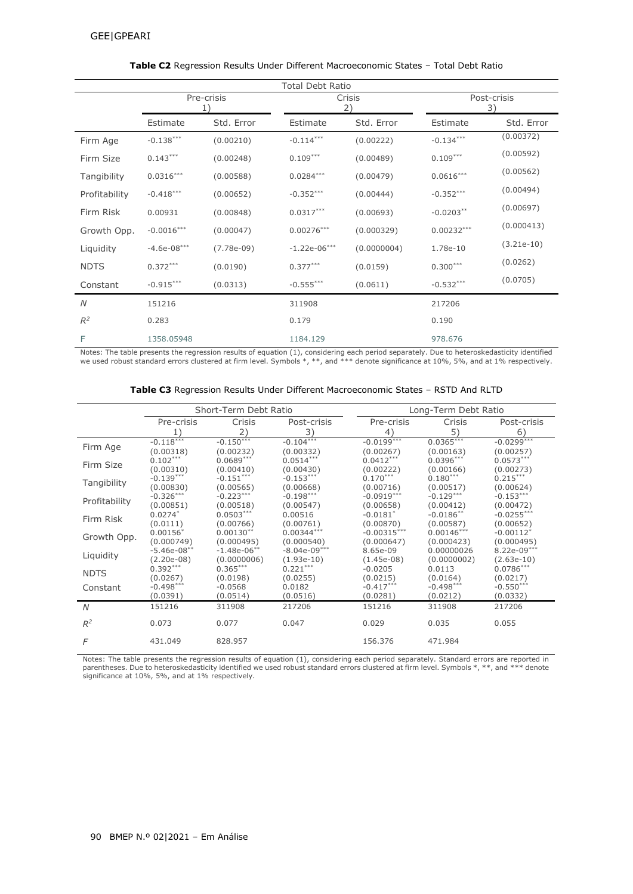| <b>Total Debt Ratio</b> |                  |              |                |              |              |                   |  |
|-------------------------|------------------|--------------|----------------|--------------|--------------|-------------------|--|
|                         | Pre-crisis<br>1) |              |                | Crisis<br>2) |              | Post-crisis<br>3) |  |
|                         | Estimate         | Std. Error   | Estimate       | Std. Error   | Estimate     | Std. Error        |  |
| Firm Age                | $-0.138***$      | (0.00210)    | $-0.114***$    | (0.00222)    | $-0.134***$  | (0.00372)         |  |
| Firm Size               | $0.143***$       | (0.00248)    | $0.109***$     | (0.00489)    | $0.109***$   | (0.00592)         |  |
| Tangibility             | $0.0316***$      | (0.00588)    | $0.0284***$    | (0.00479)    | $0.0616***$  | (0.00562)         |  |
| Profitability           | $-0.418***$      | (0.00652)    | $-0.352***$    | (0.00444)    | $-0.352***$  | (0.00494)         |  |
| Firm Risk               | 0.00931          | (0.00848)    | $0.0317***$    | (0.00693)    | $-0.0203**$  | (0.00697)         |  |
| Growth Opp.             | $-0.0016***$     | (0.00047)    | $0.00276***$   | (0.000329)   | $0.00232***$ | (0.000413)        |  |
| Liquidity               | $-4.6e-08***$    | $(7.78e-09)$ | $-1.22e-06***$ | (0.0000004)  | 1.78e-10     | $(3.21e-10)$      |  |
| <b>NDTS</b>             | $0.372***$       | (0.0190)     | $0.377***$     | (0.0159)     | $0.300***$   | (0.0262)          |  |
| Constant                | $-0.915***$      | (0.0313)     | $-0.555***$    | (0.0611)     | $-0.532***$  | (0.0705)          |  |
| N                       | 151216           |              | 311908         |              | 217206       |                   |  |
| $\mathbb{R}^2$          | 0.283            |              | 0.179          |              | 0.190        |                   |  |
| F                       | 1358.05948       |              | 1184.129       |              | 978.676      |                   |  |

### **Table C2** Regression Results Under Different Macroeconomic States – Total Debt Ratio

Notes: The table presents the regression results of equation (1), considering each period separately. Due to heteroskedasticity identified<br>we used robust standard errors clustered at firm level. Symbols \*, \*\*, and \*\*\* deno

|               | Short-Term Debt Ratio      |                                                                                  |                            |                           | Long-Term Debt Ratio  |                             |  |  |
|---------------|----------------------------|----------------------------------------------------------------------------------|----------------------------|---------------------------|-----------------------|-----------------------------|--|--|
|               | Pre-crisis                 | Crisis                                                                           | Post-crisis                | Pre-crisis                | Crisis                | Post-crisis                 |  |  |
|               | 1)                         | $2^{\prime}$                                                                     | 3)                         | $\overline{4}$            | 5)                    | 6)                          |  |  |
| Firm Age      | $-0.118***$                | $-0.150***$                                                                      | $-0.104***$                | $-0.0199***$              | $0.0365***$           | $-0.0299***$                |  |  |
|               | (0.00318)                  | (0.00232)                                                                        | (0.00332)                  | (0.00267)                 | (0.00163)             | (0.00257)                   |  |  |
| Firm Size     | $0.102***$                 | $0.0689***$                                                                      | $0.0514***$                | $0.0412***$               | $0.0396***$           | $0.0573***$                 |  |  |
|               | (0.00310)<br>(0.00410)     | (0.00430)                                                                        | (0.00222)                  | (0.00166)                 | (0.00273)             |                             |  |  |
| Tangibility   | $-0.139***$                | $-0.151***$                                                                      | $-0.153***$                | $0.170***$                | $0.180***$            | $0.215***$                  |  |  |
|               |                            | (0.00830)<br>(0.00565)<br>(0.00668)<br>$-0.326***$<br>$-0.198***$<br>$-0.223***$ | (0.00716)                  | (0.00517)                 | (0.00624)             |                             |  |  |
| Profitability |                            |                                                                                  |                            | $-0.0919***$              | $-0.129***$           | $-0.153***$                 |  |  |
|               | (0.00851)                  | (0.00518)                                                                        | (0.00547)                  | (0.00658)                 | (0.00412)             | (0.00472)                   |  |  |
| Firm Risk     | $0.0274*$                  | $0.0503***$                                                                      | 0.00516                    | $-0.0181$ <sup>*</sup>    | $-0.0186**$           | $-0.0255***$                |  |  |
|               | (0.0111)                   | (0.00766)                                                                        | (0.00761)                  | (0.00870)                 | (0.00587)             | (0.00652)                   |  |  |
| Growth Opp.   | $0.00156*$                 | $0.00130**$                                                                      | $0.00344***$               | $-0.00315***$             | $0.00146***$          | $-0.00112*$                 |  |  |
|               | (0.000749)                 | (0.000495)                                                                       | (0.000540)                 | (0.000647)                | (0.000423)            | (0.000495)                  |  |  |
| Liquidity     | $-5.46e-08$ **             | $-1.48e-06$ **                                                                   | $-8.04e-09***$             | 8.65e-09                  | 0.00000026            | $8.22e-09***$               |  |  |
|               | $(2.20e-08)$<br>$0.392***$ | (0.0000006)<br>$0.365***$                                                        | $(1.93e-10)$<br>$0.221***$ | $(1.45e-08)$<br>$-0.0205$ | (0.0000002)<br>0.0113 | $(2.63e-10)$<br>$0.0786***$ |  |  |
| <b>NDTS</b>   | (0.0267)                   | (0.0198)                                                                         | (0.0255)                   | (0.0215)                  | (0.0164)              | (0.0217)                    |  |  |
| Constant      | $-0.498***$                | $-0.0568$                                                                        | 0.0182                     | $-0.417***$               | $-0.498***$           | $-0.550***$                 |  |  |
|               | (0.0391)                   | (0.0514)                                                                         | (0.0516)                   | (0.0281)                  | (0.0212)              | (0.0332)                    |  |  |
|               | 151216                     | 311908                                                                           | 217206                     | 151216                    | 311908                | 217206                      |  |  |
| N             |                            |                                                                                  |                            |                           |                       |                             |  |  |
| $R^2$         | 0.073                      | 0.077                                                                            | 0.047                      | 0.029                     | 0.035                 | 0.055                       |  |  |
|               |                            |                                                                                  |                            |                           |                       |                             |  |  |
| F             | 431.049                    | 828.957                                                                          |                            | 156.376                   | 471.984               |                             |  |  |
|               |                            |                                                                                  |                            |                           |                       |                             |  |  |

Notes: The table presents the regression results of equation (1), considering each period separately. Standard errors are reported in<br>parentheses. Due to heteroskedasticity identified we used robust standard errors cluster significance at 10%, 5%, and at 1% respectively.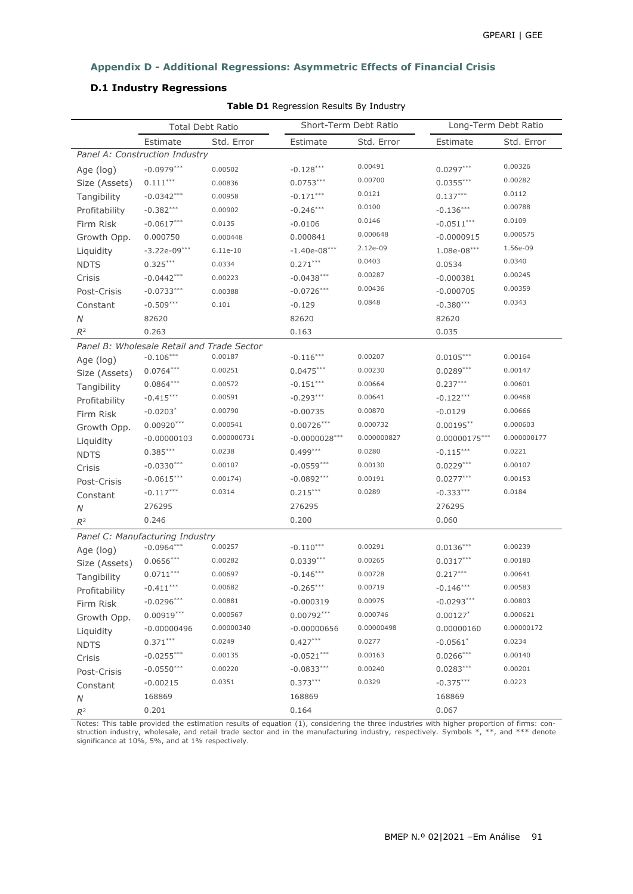## **Appendix D - Additional Regressions: Asymmetric Effects of Financial Crisis**

# **D.1 Industry Regressions**

 $\overline{\phantom{0}}$ 

|               | <b>Total Debt Ratio</b>                    |             | Short-Term Debt Ratio |             | Long-Term Debt Ratio |             |
|---------------|--------------------------------------------|-------------|-----------------------|-------------|----------------------|-------------|
|               | Estimate                                   | Std. Error  | Estimate              | Std. Error  | Estimate             | Std. Error  |
|               | Panel A: Construction Industry             |             |                       |             |                      |             |
| Age (log)     | $-0.0979***$                               | 0.00502     | $-0.128***$           | 0.00491     | $0.0297***$          | 0.00326     |
| Size (Assets) | $0.111***$                                 | 0.00836     | $0.0753***$           | 0.00700     | $0.0355***$          | 0.00282     |
| Tangibility   | $-0.0342***$                               | 0.00958     | $-0.171***$           | 0.0121      | $0.137***$           | 0.0112      |
| Profitability | $-0.382***$                                | 0.00902     | $-0.246***$           | 0.0100      | $-0.136***$          | 0.00788     |
| Firm Risk     | $-0.0617***$                               | 0.0135      | $-0.0106$             | 0.0146      | $-0.0511***$         | 0.0109      |
| Growth Opp.   | 0.000750                                   | 0.000448    | 0.000841              | 0.000648    | $-0.0000915$         | 0.000575    |
| Liquidity     | $-3.22e-09***$                             | 6.11e-10    | $-1.40e-08***$        | 2.12e-09    | $1.08e-08***$        | 1.56e-09    |
| <b>NDTS</b>   | $0.325***$                                 | 0.0334      | $0.271***$            | 0.0403      | 0.0534               | 0.0340      |
| Crisis        | $-0.0442***$                               | 0.00223     | $-0.0438***$          | 0.00287     | $-0.000381$          | 0.00245     |
| Post-Crisis   | $-0.0733***$                               | 0.00388     | $-0.0726***$          | 0.00436     | $-0.000705$          | 0.00359     |
| Constant      | $-0.509***$                                | 0.101       | $-0.129$              | 0.0848      | $-0.380***$          | 0.0343      |
| Ν             | 82620                                      |             | 82620                 |             | 82620                |             |
| $R^2$         | 0.263                                      |             | 0.163                 |             | 0.035                |             |
|               | Panel B: Wholesale Retail and Trade Sector |             |                       |             |                      |             |
| Age (log)     | $-0.106***$                                | 0.00187     | $-0.116***$           | 0.00207     | $0.0105***$          | 0.00164     |
| Size (Assets) | $0.0764***$                                | 0.00251     | $0.0475***$           | 0.00230     | $0.0289***$          | 0.00147     |
| Tangibility   | $0.0864***$                                | 0.00572     | $-0.151***$           | 0.00664     | $0.237***$           | 0.00601     |
| Profitability | $-0.415***$                                | 0.00591     | $-0.293***$           | 0.00641     | $-0.122***$          | 0.00468     |
| Firm Risk     | $-0.0203*$                                 | 0.00790     | $-0.00735$            | 0.00870     | $-0.0129$            | 0.00666     |
| Growth Opp.   | $0.00920***$                               | 0.000541    | $0.00726***$          | 0.000732    | $0.00195***$         | 0.000603    |
| Liquidity     | $-0.00000103$                              | 0.000000731 | $-0.0000028***$       | 0.000000827 | 0.00000175***        | 0.000000177 |
| <b>NDTS</b>   | $0.385***$                                 | 0.0238      | $0.499***$            | 0.0280      | $-0.115***$          | 0.0221      |
| Crisis        | $-0.0330***$                               | 0.00107     | $-0.0559***$          | 0.00130     | $0.0229***$          | 0.00107     |
| Post-Crisis   | $-0.0615***$                               | 0.00174)    | $-0.0892***$          | 0.00191     | $0.0277***$          | 0.00153     |
| Constant      | $-0.117***$                                | 0.0314      | $0.215***$            | 0.0289      | $-0.333***$          | 0.0184      |
| N             | 276295                                     |             | 276295                |             | 276295               |             |
| $R^2$         | 0.246                                      |             | 0.200                 |             | 0.060                |             |
|               | Panel C: Manufacturing Industry            |             |                       |             |                      |             |
| Age (log)     | $-0.0964***$                               | 0.00257     | $-0.110***$           | 0.00291     | $0.0136***$          | 0.00239     |
| Size (Assets) | $0.0656***$                                | 0.00282     | $0.0339***$           | 0.00265     | $0.0317***$          | 0.00180     |
| Tangibility   | $0.0711***$                                | 0.00697     | $-0.146***$           | 0.00728     | $0.217***$           | 0.00641     |
| Profitability | $-0.411***$                                | 0.00682     | $-0.265***$           | 0.00719     | $-0.146***$          | 0.00583     |
| Firm Risk     | $-0.0296***$                               | 0.00881     | $-0.000319$           | 0.00975     | $-0.0293***$         | 0.00803     |
| Growth Opp.   | $0.00919***$                               | 0.000567    | $0.00792***$          | 0.000746    | $0.00127$ *          | 0.000621    |
| Liquidity     | $-0.00000496$                              | 0.00000340  | $-0.00000656$         | 0.00000498  | 0.00000160           | 0.00000172  |
| <b>NDTS</b>   | $0.371***$                                 | 0.0249      | $0.427***$            | 0.0277      | $-0.0561$ *          | 0.0234      |
| Crisis        | $-0.0255***$                               | 0.00135     | $-0.0521***$          | 0.00163     | $0.0266***$          | 0.00140     |
| Post-Crisis   | $-0.0550***$                               | 0.00220     | $-0.0833***$          | 0.00240     | $0.0283***$          | 0.00201     |
| Constant      | $-0.00215$                                 | 0.0351      | $0.373***$            | 0.0329      | $-0.375***$          | 0.0223      |
| N             | 168869                                     |             | 168869                |             | 168869               |             |
| $R^2$         | 0.201                                      |             | 0.164                 |             | 0.067                |             |
|               |                                            |             |                       |             |                      |             |

**Table D1** Regression Results By Industry

Notes: This table provided the estimation results of equation (1), considering the three industries with higher proportion of firms: con-<br>struction industry, wholesale, and retail trade sector and in the manufacturing indu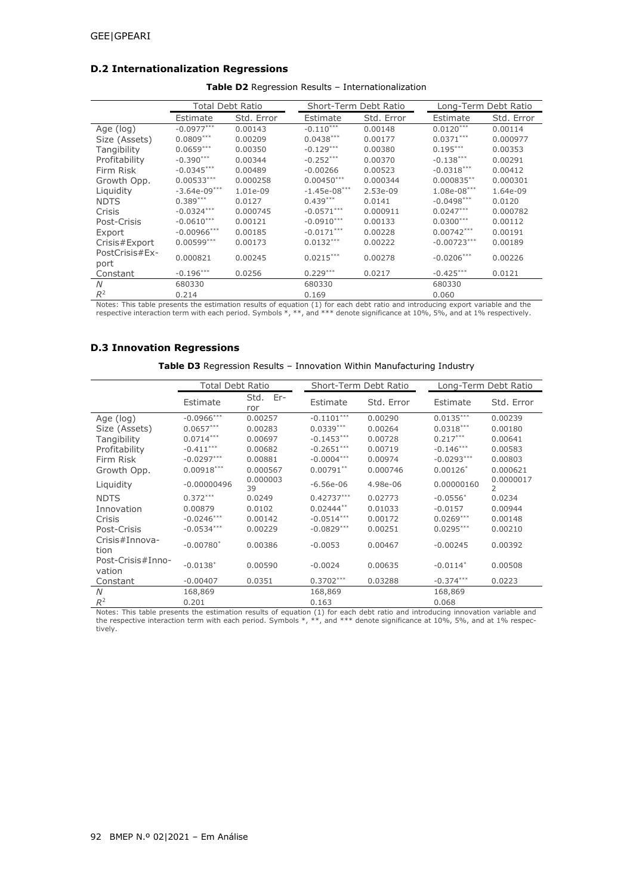### **D.2 Internationalization Regressions**

|                | <b>Total Debt Ratio</b> |            | Short-Term Debt Ratio |            |               | Long-Term Debt Ratio |
|----------------|-------------------------|------------|-----------------------|------------|---------------|----------------------|
|                | Estimate                | Std. Error | Estimate              | Std. Error | Estimate      | Std. Error           |
| Age (log)      | $-0.0977***$            | 0.00143    | $-0.110***$           | 0.00148    | $0.0120***$   | 0.00114              |
| Size (Assets)  | $0.0809***$             | 0.00209    | $0.0438***$           | 0.00177    | $0.0371***$   | 0.000977             |
| Tangibility    | $0.0659***$             | 0.00350    | $-0.129***$           | 0.00380    | $0.195***$    | 0.00353              |
| Profitability  | $-0.390***$             | 0.00344    | $-0.252***$           | 0.00370    | $-0.138***$   | 0.00291              |
| Firm Risk      | $-0.0345***$            | 0.00489    | $-0.00266$            | 0.00523    | $-0.0318***$  | 0.00412              |
| Growth Opp.    | $0.00533***$            | 0.000258   | $0.00450***$          | 0.000344   | $0.000835***$ | 0.000301             |
| Liquidity      | $-3.64e-09***$          | 1.01e-09   | $-1.45e-08***$        | 2.53e-09   | $1.08e-08***$ | 1.64e-09             |
| <b>NDTS</b>    | $0.389***$              | 0.0127     | $0.439***$            | 0.0141     | $-0.0498***$  | 0.0120               |
| Crisis         | $-0.0324***$            | 0.000745   | $-0.0571***$          | 0.000911   | $0.0247***$   | 0.000782             |
| Post-Crisis    | $-0.0610***$            | 0.00121    | $-0.0910***$          | 0.00133    | $0.0300***$   | 0.00112              |
| Export         | $-0.00966***$           | 0.00185    | $-0.0171***$          | 0.00228    | $0.00742***$  | 0.00191              |
| Crisis#Export  | $0.00599***$            | 0.00173    | $0.0132***$           | 0.00222    | $-0.00723***$ | 0.00189              |
| PostCrisis#Ex- | 0.000821                | 0.00245    | $0.0215***$           | 0.00278    | $-0.0206***$  | 0.00226              |
| port           |                         |            |                       |            |               |                      |
| Constant       | $-0.196***$             | 0.0256     | $0.229***$            | 0.0217     | $-0.425***$   | 0.0121               |
| N              | 680330                  |            | 680330                |            | 680330        |                      |
| $R^2$          | 0.214                   |            | 0.169                 |            | 0.060         |                      |

**Table D2** Regression Results – Internationalization

Notes: This table presents the estimation results of equation (1) for each debt ratio and introducing export variable and the<br>respective interaction term with each period. Symbols \*, \*\*, and \*\*\* denote significance at 10%,

## **D.3 Innovation Regressions**

| Table D3 Regression Results - Innovation Within Manufacturing Industry |  |  |  |
|------------------------------------------------------------------------|--|--|--|
|------------------------------------------------------------------------|--|--|--|

|                             | <b>Total Debt Ratio</b> |                 |              | Short-Term Debt Ratio |              | Long-Term Debt Ratio |
|-----------------------------|-------------------------|-----------------|--------------|-----------------------|--------------|----------------------|
|                             | Estimate                | Std. Er-<br>ror | Estimate     | Std. Error            | Estimate     | Std. Error           |
| Age (log)                   | $-0.0966***$            | 0.00257         | $-0.1101***$ | 0.00290               | $0.0135***$  | 0.00239              |
| Size (Assets)               | $0.0657***$             | 0.00283         | $0.0339***$  | 0.00264               | $0.0318***$  | 0.00180              |
| Tangibility                 | $0.0714***$             | 0.00697         | $-0.1453***$ | 0.00728               | $0.217***$   | 0.00641              |
| Profitability               | $-0.411***$             | 0.00682         | $-0.2651***$ | 0.00719               | $-0.146***$  | 0.00583              |
| Firm Risk                   | $-0.0297***$            | 0.00881         | $-0.0004***$ | 0.00974               | $-0.0293***$ | 0.00803              |
| Growth Opp.                 | $0.00918***$            | 0.000567        | $0.00791**$  | 0.000746              | $0.00126*$   | 0.000621             |
| Liquidity                   | $-0.00000496$           | 0.000003<br>39  | $-6.56e-06$  | 4.98e-06              | 0.00000160   | 0.0000017<br>2       |
| <b>NDTS</b>                 | $0.372***$              | 0.0249          | $0.42737***$ | 0.02773               | $-0.0556*$   | 0.0234               |
| Innovation                  | 0.00879                 | 0.0102          | $0.02444***$ | 0.01033               | $-0.0157$    | 0.00944              |
| Crisis                      | $-0.0246***$            | 0.00142         | $-0.0514***$ | 0.00172               | $0.0269***$  | 0.00148              |
| Post-Crisis                 | $-0.0534***$            | 0.00229         | $-0.0829***$ | 0.00251               | $0.0295***$  | 0.00210              |
| Crisis#Innova-<br>tion      | $-0.00780*$             | 0.00386         | $-0.0053$    | 0.00467               | $-0.00245$   | 0.00392              |
| Post-Crisis#Inno-<br>vation | $-0.0138*$              | 0.00590         | $-0.0024$    | 0.00635               | $-0.0114*$   | 0.00508              |
| Constant                    | $-0.00407$              | 0.0351          | $0.3702***$  | 0.03288               | $-0.374***$  | 0.0223               |
| N                           | 168,869                 |                 | 168,869      |                       | 168,869      |                      |
| $R^2$                       | 0.201                   |                 | 0.163        |                       | 0.068        |                      |

Notes: This table presents the estimation results of equation (1) for each debt ratio and introducing innovation variable and<br>the respective interaction term with each period. Symbols \*, \*\*, and \*\*\* denote significance at tively.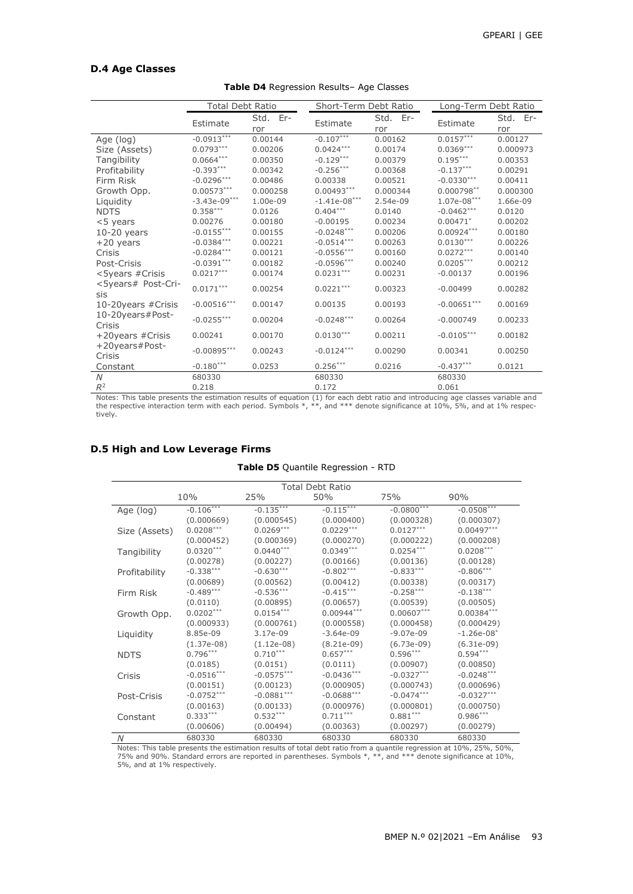#### **D.4 Age Classes**

|                             | <b>Total Debt Ratio</b> |                 | Short-Term Debt Ratio |                 | Long-Term Debt Ratio |                 |
|-----------------------------|-------------------------|-----------------|-----------------------|-----------------|----------------------|-----------------|
|                             | Estimate                | Std. Er-<br>ror | Estimate              | Std. Er-<br>ror | Estimate             | Std. Er-<br>ror |
| Age (log)                   | $-0.0913***$            | 0.00144         | $-0.107***$           | 0.00162         | $0.0157***$          | 0.00127         |
| Size (Assets)               | $0.0793***$             | 0.00206         | $0.0424***$           | 0.00174         | $0.0369***$          | 0.000973        |
| Tangibility                 | $0.0664***$             | 0.00350         | $-0.129***$           | 0.00379         | $0.195***$           | 0.00353         |
| Profitability               | $-0.393***$             | 0.00342         | $-0.256***$           | 0.00368         | $-0.137***$          | 0.00291         |
| Firm Risk                   | $-0.0296***$            | 0.00486         | 0.00338               | 0.00521         | $-0.0330***$         | 0.00411         |
| Growth Opp.                 | $0.00573***$            | 0.000258        | $0.00493***$          | 0.000344        | $0.000798***$        | 0.000300        |
| Liquidity                   | $-3.43e-09***$          | 1.00e-09        | $-1.41e-08***$        | 2.54e-09        | $1.07e-08***$        | 1.66e-09        |
| <b>NDTS</b>                 | $0.358***$              | 0.0126          | $0.404***$            | 0.0140          | $-0.0462***$         | 0.0120          |
| <5 years                    | 0.00276                 | 0.00180         | $-0.00195$            | 0.00234         | $0.00471*$           | 0.00202         |
| $10-20$ years               | $-0.0155***$            | 0.00155         | $-0.0248***$          | 0.00206         | $0.00924***$         | 0.00180         |
| $+20$ years                 | $-0.0384***$            | 0.00221         | $-0.0514***$          | 0.00263         | $0.0130***$          | 0.00226         |
| Crisis                      | $-0.0284***$            | 0.00121         | $-0.0556***$          | 0.00160         | $0.0272***$          | 0.00140         |
| Post-Crisis                 | $-0.0391***$            | 0.00182         | $-0.0596***$          | 0.00240         | $0.0205***$          | 0.00212         |
| <5years #Crisis             | $0.0217***$             | 0.00174         | $0.0231***$           | 0.00231         | $-0.00137$           | 0.00196         |
| <5years# Post-Cri-<br>sis   | $0.0171***$             | 0.00254         | $0.0221***$           | 0.00323         | $-0.00499$           | 0.00282         |
| 10-20years #Crisis          | $-0.00516***$           | 0.00147         | 0.00135               | 0.00193         | $-0.00651***$        | 0.00169         |
| 10-20years#Post-<br>Crisis  | $-0.0255***$            | 0.00204         | $-0.0248***$          | 0.00264         | $-0.000749$          | 0.00233         |
| +20years #Crisis            | 0.00241                 | 0.00170         | $0.0130***$           | 0.00211         | $-0.0105***$         | 0.00182         |
| $+20$ years#Post-<br>Crisis | $-0.00895***$           | 0.00243         | $-0.0124***$          | 0.00290         | 0.00341              | 0.00250         |
| Constant                    | $-0.180***$             | 0.0253          | $0.256***$            | 0.0216          | $-0.437***$          | 0.0121          |
| N                           | 680330                  |                 | 680330                |                 | 680330               |                 |
| $R^2$                       | 0.218                   |                 | 0.172                 |                 | 0.061                |                 |

**Table D4** Regression Results– Age Classes

Notes: This table presents the estimation results of equation (1) for each debt ratio and introducing age classes variable and<br>the respective interaction term with each period. Symbols \*, \*\*, and \*\*\* denote significance at tively.

### **D.5 High and Low Leverage Firms**

#### **Table D5** Quantile Regression - RTD

| <b>Total Debt Ratio</b> |              |              |              |              |               |  |  |  |  |
|-------------------------|--------------|--------------|--------------|--------------|---------------|--|--|--|--|
|                         | 10%          | 25%          | 50%          | 75%          | 90%           |  |  |  |  |
| Age (log)               | $-0.106***$  | $-0.135***$  | $-0.115***$  | $-0.0800***$ | $-0.0508***$  |  |  |  |  |
|                         | (0.000669)   | (0.000545)   | (0.000400)   | (0.000328)   | (0.000307)    |  |  |  |  |
| Size (Assets)           | $0.0208***$  | $0.0269***$  | $0.0229***$  | $0.0127***$  | $0.00497***$  |  |  |  |  |
|                         | (0.000452)   | (0.000369)   | (0.000270)   | (0.000222)   | (0.000208)    |  |  |  |  |
| Tangibility             | $0.0320***$  | $0.0440***$  | $0.0349***$  | $0.0254***$  | $0.0208***$   |  |  |  |  |
|                         | (0.00278)    | (0.00227)    | (0.00166)    | (0.00136)    | (0.00128)     |  |  |  |  |
| Profitability           | $-0.338***$  | $-0.630***$  | $-0.802***$  | $-0.833***$  | $-0.806***$   |  |  |  |  |
|                         | (0.00689)    | (0.00562)    | (0.00412)    | (0.00338)    | (0.00317)     |  |  |  |  |
| Firm Risk               | $-0.489***$  | $-0.536***$  | $-0.415***$  | $-0.258***$  | $-0.138***$   |  |  |  |  |
|                         | (0.0110)     | (0.00895)    | (0.00657)    | (0.00539)    | (0.00505)     |  |  |  |  |
| Growth Opp.             | $0.0202***$  | $0.0154***$  | $0.00944***$ | $0.00607***$ | $0.00384***$  |  |  |  |  |
|                         | (0.000933)   | (0.000761)   | (0.000558)   | (0.000458)   | (0.000429)    |  |  |  |  |
| Liquidity               | 8.85e-09     | 3.17e-09     | $-3.64e-09$  | $-9.07e-09$  | $-1.26e-08$ * |  |  |  |  |
|                         | $(1.37e-08)$ | $(1.12e-08)$ | $(8.21e-09)$ | $(6.73e-09)$ | $(6.31e-09)$  |  |  |  |  |
| <b>NDTS</b>             | $0.796***$   | $0.710***$   | $0.657***$   | $0.596***$   | $0.594***$    |  |  |  |  |
|                         | (0.0185)     | (0.0151)     | (0.0111)     | (0.00907)    | (0.00850)     |  |  |  |  |
| Crisis                  | $-0.0516***$ | $-0.0575***$ | $-0.0436***$ | $-0.0327***$ | $-0.0248***$  |  |  |  |  |
|                         | (0.00151)    | (0.00123)    | (0.000905)   | (0.000743)   | (0.000696)    |  |  |  |  |
| Post-Crisis             | $-0.0752***$ | $-0.0881***$ | $-0.0688***$ | $-0.0474***$ | $-0.0327***$  |  |  |  |  |
|                         | (0.00163)    | (0.00133)    | (0.000976)   | (0.000801)   | (0.000750)    |  |  |  |  |
| Constant                | $0.333***$   | $0.532***$   | $0.711***$   | $0.881***$   | $0.986***$    |  |  |  |  |
|                         | (0.00606)    | (0.00494)    | (0.00363)    | (0.00297)    | (0.00279)     |  |  |  |  |
| N                       | 680330       | 680330       | 680330       | 680330       | 680330        |  |  |  |  |

Notes: This table presents the estimation results of total debt ratio from a quantile regression at 10%, 25%, 50%,<br>75% and 90%. Standard errors are reported in parentheses. Symbols \*, \*\*, and \*\*\* denote significance at 10%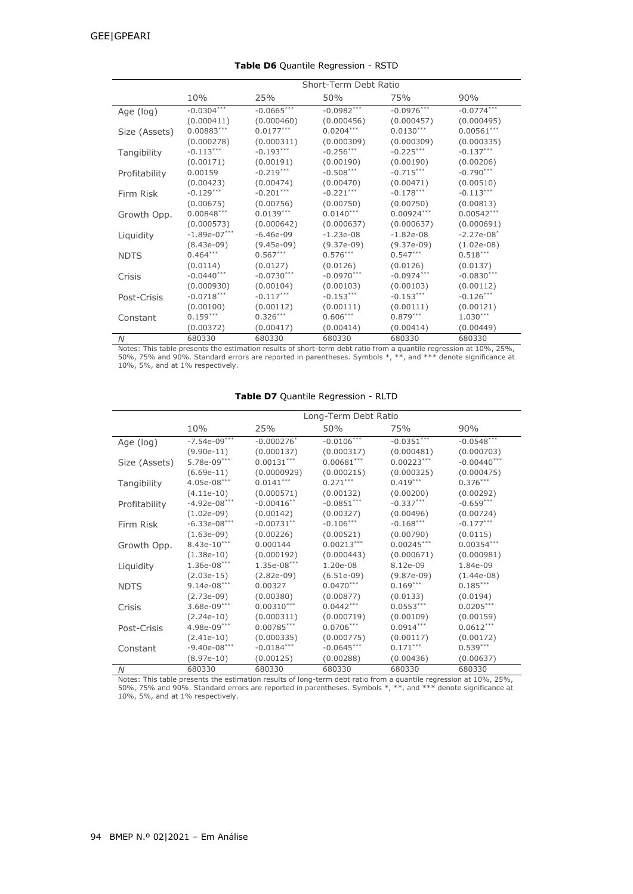|               | Short-Term Debt Ratio |              |              |              |                          |  |  |
|---------------|-----------------------|--------------|--------------|--------------|--------------------------|--|--|
|               | 10%                   | 25%          | 50%          | 75%          | 90%                      |  |  |
| Age (log)     | $-0.0304***$          | $-0.0665***$ | $-0.0982***$ | $-0.0976***$ | $-0.0774***$             |  |  |
|               | (0.000411)            | (0.000460)   | (0.000456)   | (0.000457)   | (0.000495)               |  |  |
| Size (Assets) | $0.00883***$          | $0.0177***$  | $0.0204***$  | $0.0130***$  | $0.00561***$             |  |  |
|               | (0.000278)            | (0.000311)   | (0.000309)   | (0.000309)   | (0.000335)               |  |  |
| Tangibility   | $-0.113***$           | $-0.193***$  | $-0.256***$  | $-0.225***$  | $-0.137***$              |  |  |
|               | (0.00171)             | (0.00191)    | (0.00190)    | (0.00190)    | (0.00206)                |  |  |
| Profitability | 0.00159               | $-0.219***$  | $-0.508***$  | $-0.715***$  | $-0.790***$              |  |  |
|               | (0.00423)             | (0.00474)    | (0.00470)    | (0.00471)    | (0.00510)                |  |  |
| Firm Risk     | $-0.129***$           | $-0.201***$  | $-0.221***$  | $-0.178***$  | $-0.113***$              |  |  |
|               | (0.00675)             | (0.00756)    | (0.00750)    | (0.00750)    | (0.00813)                |  |  |
| Growth Opp.   | $0.00848***$          | $0.0139***$  | $0.0140***$  | $0.00924***$ | $0.00542***$             |  |  |
|               | (0.000573)            | (0.000642)   | (0.000637)   | (0.000637)   | (0.000691)               |  |  |
| Liquidity     | $-1.89e-07***$        | $-6.46e-09$  | $-1.23e-08$  | $-1.82e-08$  | $-2.27e-08$ <sup>*</sup> |  |  |
|               | $(8.43e-09)$          | $(9.45e-09)$ | $(9.37e-09)$ | $(9.37e-09)$ | $(1.02e-08)$             |  |  |
| <b>NDTS</b>   | $0.464***$            | $0.567***$   | $0.576***$   | $0.547***$   | $0.518***$               |  |  |
|               | (0.0114)              | (0.0127)     | (0.0126)     | (0.0126)     | (0.0137)                 |  |  |
| Crisis        | $-0.0440***$          | $-0.0730***$ | $-0.0970***$ | $-0.0974***$ | $-0.0830***$             |  |  |
|               | (0.000930)            | (0.00104)    | (0.00103)    | (0.00103)    | (0.00112)                |  |  |
| Post-Crisis   | $-0.0718***$          | $-0.117***$  | $-0.153***$  | $-0.153***$  | $-0.126***$              |  |  |
|               | (0.00100)             | (0.00112)    | (0.00111)    | (0.00111)    | (0.00121)                |  |  |
| Constant      | $0.159***$            | $0.326***$   | $0.606***$   | $0.879***$   | $1.030***$               |  |  |
|               | (0.00372)             | (0.00417)    | (0.00414)    | (0.00414)    | (0.00449)                |  |  |
| N             | 680330                | 680330       | 680330       | 680330       | 680330                   |  |  |

**Table D6** Quantile Regression - RSTD

Notes: This table presents the estimation results of short-term debt ratio from a quantile regression at 10%, 25%,<br>50%, 75% and 90%. Standard errors are reported in parentheses. Symbols \*, \*\*, and \*\*\* denote significance a

| Table D7 Quantile Regression - RLTD |
|-------------------------------------|
|                                     |

|               | Long-Term Debt Ratio |                          |              |              |               |  |  |  |  |
|---------------|----------------------|--------------------------|--------------|--------------|---------------|--|--|--|--|
|               | 10%                  | 25%                      | 50%          | 75%          | 90%           |  |  |  |  |
| Age (log)     | $-7.54e-09***$       | $-0.000276$ <sup>*</sup> | $-0.0106***$ | $-0.0351***$ | $-0.0548***$  |  |  |  |  |
|               | $(9.90e-11)$         | (0.000137)               | (0.000317)   | (0.000481)   | (0.000703)    |  |  |  |  |
| Size (Assets) | 5.78e-09***          | $0.00131***$             | $0.00681***$ | $0.00223***$ | $-0.00440***$ |  |  |  |  |
|               | $(6.69e-11)$         | (0.0000929)              | (0.000215)   | (0.000325)   | (0.000475)    |  |  |  |  |
| Tangibility   | $4.05e-08***$        | $0.0141***$              | $0.271***$   | $0.419***$   | $0.376***$    |  |  |  |  |
|               | $(4.11e-10)$         | (0.000571)               | (0.00132)    | (0.00200)    | (0.00292)     |  |  |  |  |
| Profitability | $-4.92e-08***$       | $-0.00416***$            | $-0.0851***$ | $-0.337***$  | $-0.659***$   |  |  |  |  |
|               | $(1.02e-09)$         | (0.00142)                | (0.00327)    | (0.00496)    | (0.00724)     |  |  |  |  |
| Firm Risk     | $-6.33e-08***$       | $-0.00731***$            | $-0.106***$  | $-0.168***$  | $-0.177***$   |  |  |  |  |
|               | $(1.63e-09)$         | (0.00226)                | (0.00521)    | (0.00790)    | (0.0115)      |  |  |  |  |
| Growth Opp.   | $8.43e-10***$        | 0.000144                 | $0.00213***$ | $0.00245***$ | $0.00354***$  |  |  |  |  |
|               | $(1.38e-10)$         | (0.000192)               | (0.000443)   | (0.000671)   | (0.000981)    |  |  |  |  |
| Liquidity     | $1.36e-08***$        | $1.35e-08***$            | 1.20e-08     | 8.12e-09     | 1.84e-09      |  |  |  |  |
|               | $(2.03e-15)$         | $(2.82e-09)$             | $(6.51e-09)$ | $(9.87e-09)$ | $(1.44e-08)$  |  |  |  |  |
| <b>NDTS</b>   | $9.14e-08***$        | 0.00327                  | $0.0470***$  | $0.169***$   | $0.185***$    |  |  |  |  |
|               | $(2.73e-09)$         | (0.00380)                | (0.00877)    | (0.0133)     | (0.0194)      |  |  |  |  |
| Crisis        | $3.68e-09***$        | $0.00310***$             | $0.0442***$  | $0.0553***$  | $0.0205***$   |  |  |  |  |
|               | $(2.24e-10)$         | (0.000311)               | (0.000719)   | (0.00109)    | (0.00159)     |  |  |  |  |
| Post-Crisis   | 4.98e-09***          | $0.00785***$             | $0.0706***$  | $0.0914***$  | $0.0612***$   |  |  |  |  |
|               | $(2.41e-10)$         | (0.000335)               | (0.000775)   | (0.00117)    | (0.00172)     |  |  |  |  |
| Constant      | $-9.40e-08***$       | $-0.0184***$             | $-0.0645***$ | $0.171***$   | $0.539***$    |  |  |  |  |
|               | (8.97e-10)           | (0.00125)                | (0.00288)    | (0.00436)    | (0.00637)     |  |  |  |  |
| N             | 680330               | 680330                   | 680330       | 680330       | 680330        |  |  |  |  |

Notes: This table presents the estimation results of long-term debt ratio from a quantile regression at 10%, 25%,<br>50%, 75% and 90%. Standard errors are reported in parentheses. Symbols \*, \*\*, and \*\*\* denote significance at